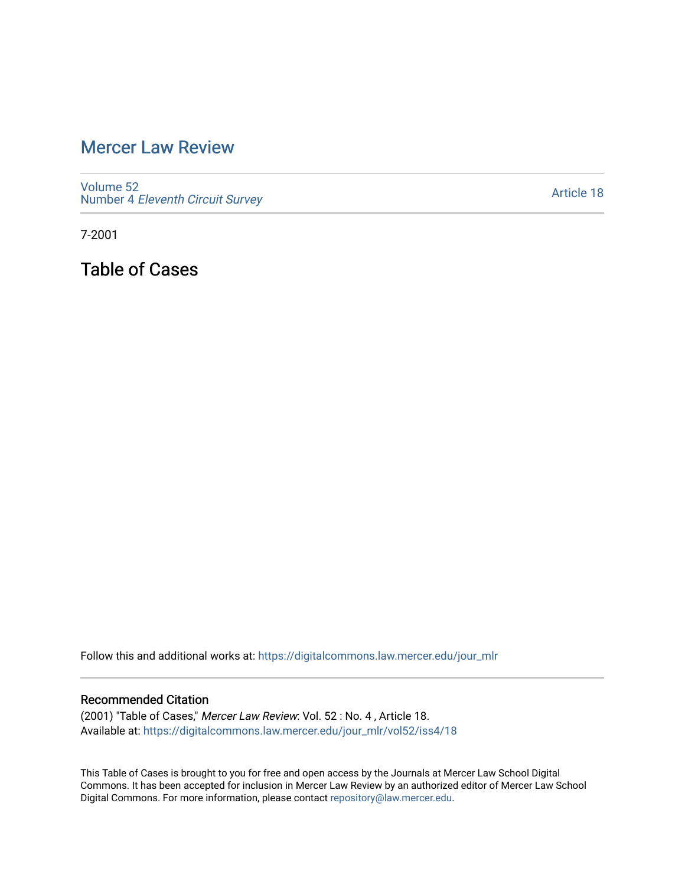# [Mercer Law Review](https://digitalcommons.law.mercer.edu/jour_mlr)

[Volume 52](https://digitalcommons.law.mercer.edu/jour_mlr/vol52) Number 4 [Eleventh Circuit Survey](https://digitalcommons.law.mercer.edu/jour_mlr/vol52/iss4) 

[Article 18](https://digitalcommons.law.mercer.edu/jour_mlr/vol52/iss4/18) 

7-2001

Table of Cases

Follow this and additional works at: [https://digitalcommons.law.mercer.edu/jour\\_mlr](https://digitalcommons.law.mercer.edu/jour_mlr?utm_source=digitalcommons.law.mercer.edu%2Fjour_mlr%2Fvol52%2Fiss4%2F18&utm_medium=PDF&utm_campaign=PDFCoverPages)

### Recommended Citation

(2001) "Table of Cases," Mercer Law Review: Vol. 52 : No. 4 , Article 18. Available at: [https://digitalcommons.law.mercer.edu/jour\\_mlr/vol52/iss4/18](https://digitalcommons.law.mercer.edu/jour_mlr/vol52/iss4/18?utm_source=digitalcommons.law.mercer.edu%2Fjour_mlr%2Fvol52%2Fiss4%2F18&utm_medium=PDF&utm_campaign=PDFCoverPages) 

This Table of Cases is brought to you for free and open access by the Journals at Mercer Law School Digital Commons. It has been accepted for inclusion in Mercer Law Review by an authorized editor of Mercer Law School Digital Commons. For more information, please contact [repository@law.mercer.edu](mailto:repository@law.mercer.edu).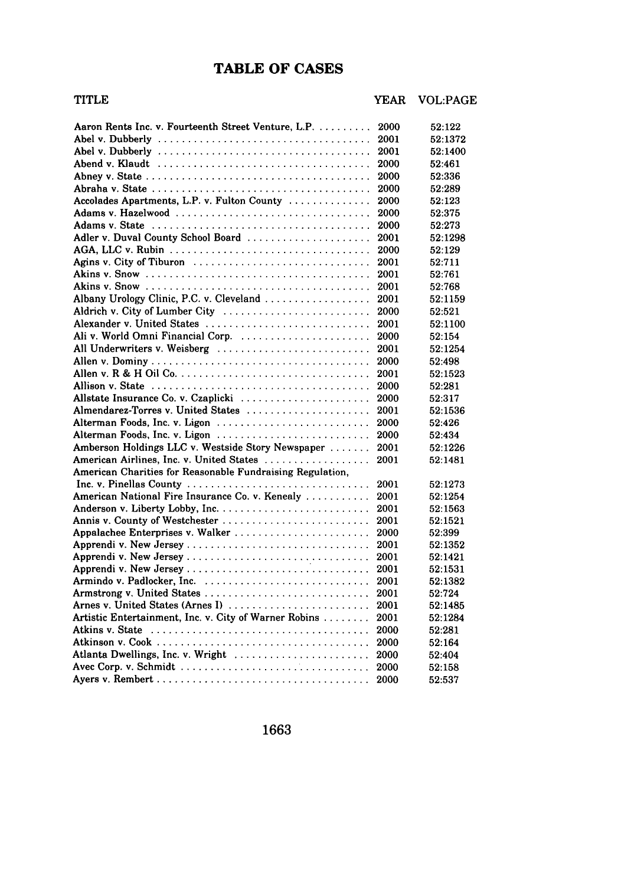# **TABLE OF CASES**

## TITLE YEAR VOL:PAGE

| Aaron Rents Inc. v. Fourteenth Street Venture, L.P.                                              | 2000 | 52:122  |
|--------------------------------------------------------------------------------------------------|------|---------|
|                                                                                                  | 2001 | 52:1372 |
|                                                                                                  | 2001 | 52:1400 |
| Abend v. Klaudt $\ldots, \ldots, \ldots, \ldots, \ldots, \ldots, \ldots, \ldots, \ldots, \ldots$ | 2000 | 52:461  |
|                                                                                                  | 2000 | 52:336  |
|                                                                                                  | 2000 | 52:289  |
| Accolades Apartments, L.P. v. Fulton County                                                      | 2000 | 52:123  |
|                                                                                                  | 2000 | 52:375  |
|                                                                                                  | 2000 | 52:273  |
| Adler v. Duval County School Board                                                               | 2001 | 52:1298 |
|                                                                                                  | 2000 | 52:129  |
| Agins v. City of Tiburon                                                                         | 2001 | 52:711  |
|                                                                                                  | 2001 | 52:761  |
|                                                                                                  | 2001 | 52:768  |
| Albany Urology Clinic, P.C. v. Cleveland                                                         | 2001 | 52:1159 |
| Aldrich v. City of Lumber City                                                                   | 2000 | 52:521  |
| Alexander v. United States                                                                       | 2001 | 52:1100 |
| Ali v. World Omni Financial Corp.                                                                | 2000 | 52:154  |
| All Underwriters v. Weisberg                                                                     | 2001 | 52:1254 |
|                                                                                                  | 2000 | 52:498  |
|                                                                                                  | 2001 | 52:1523 |
|                                                                                                  | 2000 | 52:281  |
| Allstate Insurance Co. v. Czaplicki                                                              | 2000 | 52:317  |
| Almendarez-Torres v. United States                                                               | 2001 | 52:1536 |
|                                                                                                  | 2000 | 52:426  |
|                                                                                                  | 2000 | 52:434  |
| Amberson Holdings LLC v. Westside Story Newspaper                                                | 2001 | 52:1226 |
| American Airlines, Inc. v. United States                                                         | 2001 | 52:1481 |
| American Charities for Reasonable Fundraising Regulation,                                        |      |         |
| Inc. v. Pinellas County                                                                          | 2001 | 52:1273 |
| American National Fire Insurance Co. v. Kenealy                                                  | 2001 | 52:1254 |
|                                                                                                  | 2001 | 52:1563 |
|                                                                                                  | 2001 | 52:1521 |
| Appalachee Enterprises v. Walker                                                                 | 2000 | 52:399  |
| Apprendi v. New Jersey                                                                           | 2001 | 52:1352 |
| Apprendi v. New Jersey                                                                           | 2001 | 52:1421 |
|                                                                                                  | 2001 | 52:1531 |
|                                                                                                  | 2001 | 52:1382 |
|                                                                                                  | 2001 | 52:724  |
| Arnes v. United States (Arnes I)                                                                 | 2001 | 52:1485 |
| Artistic Entertainment, Inc. v. City of Warner Robins                                            | 2001 | 52:1284 |
|                                                                                                  | 2000 | 52:281  |
|                                                                                                  | 2000 | 52:164  |
| Atlanta Dwellings, Inc. v. Wright                                                                | 2000 | 52:404  |
|                                                                                                  | 2000 | 52:158  |
|                                                                                                  | 2000 | 52:537  |
|                                                                                                  |      |         |

1663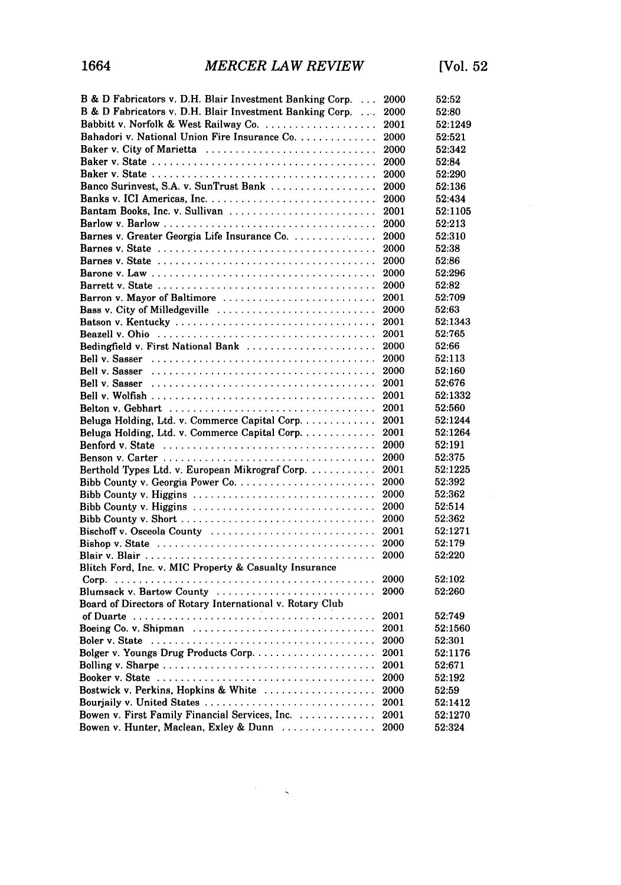| B & D Fabricators v. D.H. Blair Investment Banking Corp.  | 2000 | 52:52   |
|-----------------------------------------------------------|------|---------|
| B & D Fabricators v. D.H. Blair Investment Banking Corp.  | 2000 | 52:80   |
| Babbitt v. Norfolk & West Railway Co.                     | 2001 | 52:1249 |
| Bahadori v. National Union Fire Insurance Co.             | 2000 | 52:521  |
| Baker v. City of Marietta                                 | 2000 | 52:342  |
|                                                           | 2000 | 52:84   |
|                                                           | 2000 | 52:290  |
| Banco Surinvest, S.A. v. SunTrust Bank                    | 2000 | 52:136  |
|                                                           | 2000 | 52:434  |
| Bantam Books, Inc. v. Sullivan                            | 2001 | 52:1105 |
|                                                           | 2000 | 52:213  |
|                                                           |      |         |
| Barnes v. Greater Georgia Life Insurance Co.              | 2000 | 52:310  |
|                                                           | 2000 | 52:38   |
|                                                           | 2000 | 52:86   |
|                                                           | 2000 | 52:296  |
|                                                           | 2000 | 52:82   |
| Barron v. Mayor of Baltimore                              | 2001 | 52:709  |
| Bass v. City of Milledgeville                             | 2000 | 52:63   |
|                                                           | 2001 | 52:1343 |
|                                                           | 2001 | 52:765  |
| Bedingfield v. First National Bank                        | 2000 | 52:66   |
| Bell v. Sasser                                            | 2000 | 52:113  |
| Bell v. Sasser                                            | 2000 | 52:160  |
|                                                           | 2001 | 52:676  |
|                                                           | 2001 | 52:1332 |
|                                                           | 2001 | 52:560  |
| Beluga Holding, Ltd. v. Commerce Capital Corp.            | 2001 | 52:1244 |
| Beluga Holding, Ltd. v. Commerce Capital Corp.            | 2001 | 52:1264 |
|                                                           | 2000 | 52:191  |
|                                                           | 2000 | 52:375  |
| Berthold Types Ltd. v. European Mikrograf Corp.           | 2001 | 52:1225 |
|                                                           | 2000 | 52:392  |
|                                                           | 2000 | 52:362  |
|                                                           | 2000 | 52:514  |
|                                                           | 2000 | 52:362  |
| Bischoff v. Osceola County                                | 2001 | 52:1271 |
|                                                           | 2000 | 52:179  |
|                                                           | 2000 | 52:220  |
| Blitch Ford, Inc. v. MIC Property & Casualty Insurance    |      |         |
|                                                           | 2000 | 52:102  |
| Blumsack v. Bartow County                                 | 2000 | 52:260  |
| Board of Directors of Rotary International v. Rotary Club |      |         |
|                                                           | 2001 | 52:749  |
| Boeing Co. v. Shipman                                     | 2001 | 52:1560 |
|                                                           | 2000 | 52:301  |
|                                                           | 2001 | 52:1176 |
|                                                           | 2001 | 52:671  |
|                                                           | 2000 | 52:192  |
| Bostwick v. Perkins, Hopkins & White                      | 2000 | 52:59   |
| Bourjaily v. United States                                | 2001 | 52:1412 |
| Bowen v. First Family Financial Services, Inc.            | 2001 | 52:1270 |
| Bowen v. Hunter, Maclean, Exley & Dunn                    | 2000 | 52:324  |

 $\label{eq:2.1} \frac{1}{\sqrt{2}}\int_{0}^{2\pi} \frac{1}{\sqrt{2\pi}}\left(\frac{1}{\sqrt{2\pi}}\right)^{2\pi} \frac{1}{\sqrt{2\pi}}\left(\frac{1}{\sqrt{2\pi}}\right)^{2\pi} \frac{1}{\sqrt{2\pi}}\frac{1}{\sqrt{2\pi}}\frac{1}{\sqrt{2\pi}}\frac{1}{\sqrt{2\pi}}\frac{1}{\sqrt{2\pi}}\frac{1}{\sqrt{2\pi}}\frac{1}{\sqrt{2\pi}}\frac{1}{\sqrt{2\pi}}\frac{1}{\sqrt{2\pi}}\frac{1}{\sqrt{2\pi}}\frac{$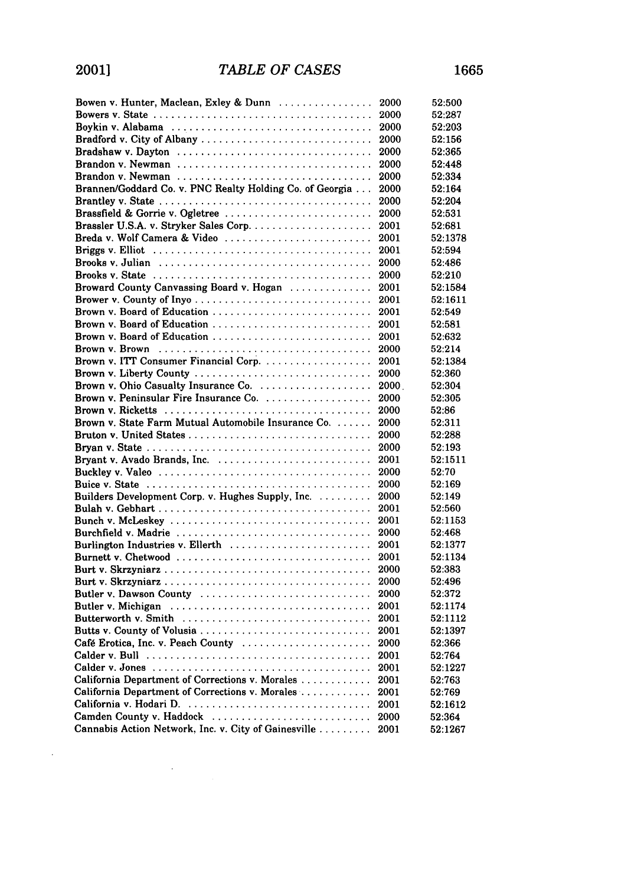| Bowen v. Hunter, Maclean, Exley & Dunn                                                                | 2000  | 52:500  |
|-------------------------------------------------------------------------------------------------------|-------|---------|
|                                                                                                       | 2000  | 52:287  |
|                                                                                                       | 2000  | 52:203  |
| Bradford v. City of Albany                                                                            | 2000  | 52:156  |
| Bradshaw v. Dayton                                                                                    | 2000  | 52:365  |
| Brandon v. Newman                                                                                     | 2000  | 52:448  |
|                                                                                                       | 2000  | 52:334  |
| Brannen/Goddard Co. v. PNC Realty Holding Co. of Georgia                                              | 2000  | 52:164  |
|                                                                                                       | 2000  | 52:204  |
| Brassfield & Gorrie v. Ogletree                                                                       | 2000  | 52:531  |
|                                                                                                       | 2001  | 52:681  |
| Breda v. Wolf Camera & Video                                                                          | 2001  | 52:1378 |
|                                                                                                       | 2001  | 52:594  |
|                                                                                                       | 2000  | 52:486  |
| Brooks v. State $\ldots \ldots \ldots \ldots \ldots \ldots \ldots \ldots \ldots \ldots \ldots \ldots$ | 2000  | 52:210  |
| Broward County Canvassing Board v. Hogan                                                              | 2001  | 52:1584 |
|                                                                                                       | 2001  | 52:1611 |
| Brown v. Board of Education                                                                           | 2001  | 52:549  |
| Brown v. Board of Education                                                                           | 2001  | 52:581  |
| Brown v. Board of Education                                                                           | 2001  | 52:632  |
|                                                                                                       | 2000  | 52:214  |
| Brown v. ITT Consumer Financial Corp.                                                                 | 2001  | 52:1384 |
| Brown v. Liberty County                                                                               | 2000  | 52:360  |
|                                                                                                       | 2000. | 52:304  |
|                                                                                                       | 2000  | 52:305  |
|                                                                                                       | 2000  | 52:86   |
| Brown v. State Farm Mutual Automobile Insurance Co.                                                   | 2000  | 52:311  |
|                                                                                                       | 2000  | 52:288  |
|                                                                                                       | 2000  | 52:193  |
|                                                                                                       | 2001  | 52:1511 |
|                                                                                                       | 2000  | 52:70   |
|                                                                                                       | 2000  | 52:169  |
| Builders Development Corp. v. Hughes Supply, Inc.                                                     | 2000  | 52:149  |
|                                                                                                       | 2001  | 52:560  |
|                                                                                                       | 2001  | 52:1153 |
| Burchfield v. Madrie                                                                                  | 2000  | 52:468  |
| Burlington Industries v. Ellerth                                                                      | 2001  | 52:1377 |
|                                                                                                       | 2001  | 52:1134 |
|                                                                                                       | 2000  | 52:383  |
|                                                                                                       | 2000  | 52:496  |
| Butler v. Dawson County                                                                               | 2000  | 52:372  |
|                                                                                                       | 2001  | 52:1174 |
|                                                                                                       | 2001  | 52:1112 |
| Butts v. County of Volusia                                                                            | 2001  | 52:1397 |
| Café Erotica, Inc. v. Peach County                                                                    | 2000  | 52:366  |
|                                                                                                       | 2001  | 52:764  |
|                                                                                                       | 2001  | 52:1227 |
| California Department of Corrections v. Morales                                                       | 2001  | 52:763  |
| California Department of Corrections v. Morales                                                       | 2001  | 52:769  |
|                                                                                                       | 2001  | 52:1612 |
| Camden County v. Haddock                                                                              | 2000  | 52:364  |
| Cannabis Action Network, Inc. v. City of Gainesville                                                  | 2001  | 52:1267 |
|                                                                                                       |       |         |

 $\ddot{\phantom{a}}$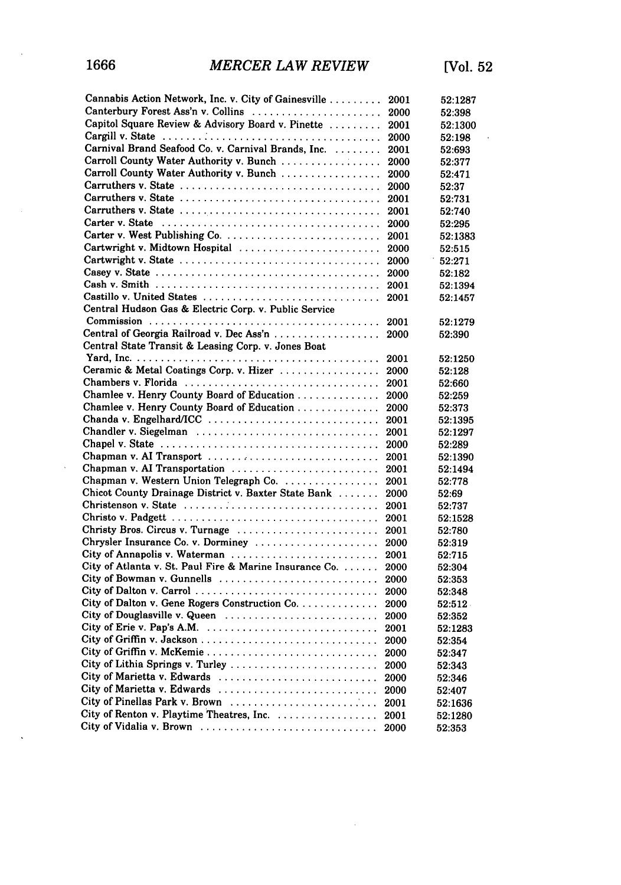$\bar{\lambda}$ 

 $\ddot{\phantom{0}}$ 

 $\hat{\mathbf{r}}$ 

| Cannabis Action Network, Inc. v. City of Gainesville    | 2001 | 52:1287 |
|---------------------------------------------------------|------|---------|
| Canterbury Forest Ass'n v. Collins                      | 2000 | 52:398  |
| Capitol Square Review & Advisory Board v. Pinette       | 2001 | 52:1300 |
|                                                         | 2000 | 52:198  |
| Carnival Brand Seafood Co. v. Carnival Brands, Inc.     | 2001 | 52:693  |
| Carroll County Water Authority v. Bunch                 | 2000 | 52:377  |
| Carroll County Water Authority v. Bunch                 | 2000 | 52:471  |
|                                                         | 2000 | 52:37   |
|                                                         | 2001 | 52:731  |
|                                                         | 2001 | 52:740  |
|                                                         | 2000 | 52:295  |
| Carter v. West Publishing Co.                           | 2001 | 52:1383 |
| Cartwright v. Midtown Hospital                          | 2000 | 52:515  |
|                                                         | 2000 | 52:271  |
|                                                         | 2000 | 52:182  |
|                                                         | 2001 | 52:1394 |
| Castillo v. United States                               | 2001 | 52:1457 |
| Central Hudson Gas & Electric Corp. v. Public Service   |      |         |
|                                                         | 2001 | 52:1279 |
| Central of Georgia Railroad v. Dec Ass'n                | 2000 | 52:390  |
| Central State Transit & Leasing Corp. v. Jones Boat     |      |         |
|                                                         | 2001 | 52:1250 |
| Ceramic & Metal Coatings Corp. v. Hizer                 | 2000 | 52:128  |
| Chambers v. Florida                                     | 2001 | 52:660  |
| Chamlee v. Henry County Board of Education              | 2000 | 52:259  |
| Chamlee v. Henry County Board of Education              | 2000 | 52:373  |
| Chanda v. Engelhard/ICC                                 | 2001 | 52:1395 |
| Chandler v. Siegelman                                   | 2001 | 52:1297 |
|                                                         | 2000 | 52:289  |
| Chapman v. AI Transport                                 | 2001 | 52:1390 |
| Chapman v. AI Transportation                            | 2001 | 52:1494 |
| Chapman v. Western Union Telegraph Co.                  | 2001 | 52:778  |
| Chicot County Drainage District v. Baxter State Bank    | 2000 | 52:69   |
|                                                         | 2001 | 52:737  |
|                                                         | 2001 | 52:1528 |
| Christy Bros. Circus v. Turnage                         | 2001 | 52:780  |
| Chrysler Insurance Co. v. Dorminey                      | 2000 | 52:319  |
| City of Annapolis v. Waterman                           | 2001 | 52:715  |
| City of Atlanta v. St. Paul Fire & Marine Insurance Co. | 2000 | 52:304  |
| City of Bowman v. Gunnells                              | 2000 | 52:353  |
| City of Dalton v. Carrol                                | 2000 | 52:348  |
| City of Dalton v. Gene Rogers Construction Co.          | 2000 | 52:512  |
| City of Douglasville v. Queen                           | 2000 | 52:352  |
| City of Erie v. Pap's A.M.                              | 2001 | 52:1283 |
| City of Griffin v. Jackson                              | 2000 | 52:354  |
| City of Griffin v. McKemie                              | 2000 | 52:347  |
|                                                         | 2000 | 52:343  |
| City of Marietta v. Edwards                             | 2000 | 52:346  |
| City of Marietta v. Edwards                             | 2000 | 52:407  |
| City of Pinellas Park v. Brown                          | 2001 | 52:1636 |
| City of Renton v. Playtime Theatres, Inc.               | 2001 | 52:1280 |
|                                                         | 2000 | 52:353  |

 $\sim$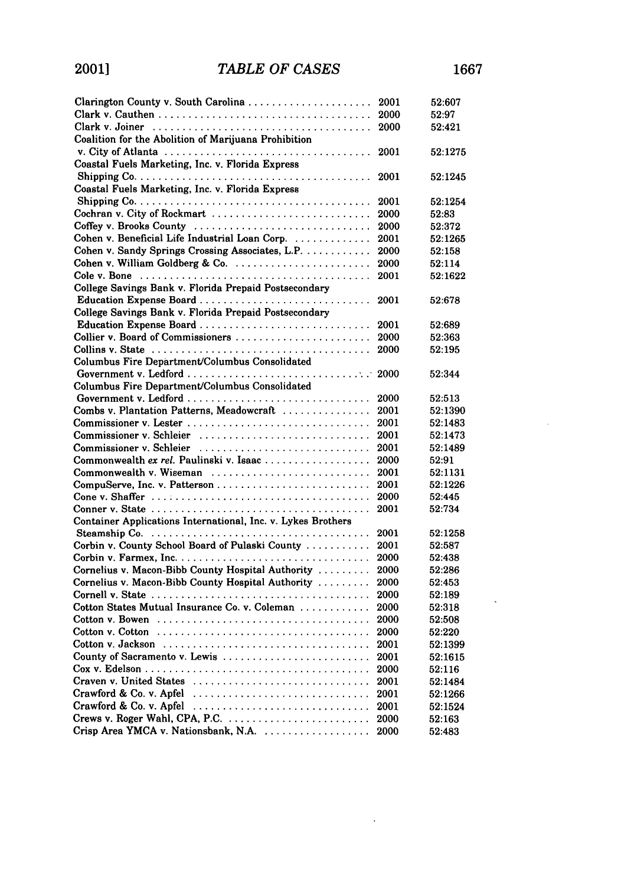| Clarington County v. South Carolina                                                                | 2001 | 52:607  |
|----------------------------------------------------------------------------------------------------|------|---------|
|                                                                                                    | 2000 | 52:97   |
|                                                                                                    | 2000 | 52:421  |
| Coalition for the Abolition of Marijuana Prohibition                                               |      |         |
|                                                                                                    | 2001 | 52:1275 |
| Coastal Fuels Marketing, Inc. v. Florida Express                                                   |      |         |
|                                                                                                    | 2001 | 52:1245 |
| Coastal Fuels Marketing, Inc. v. Florida Express                                                   |      |         |
| Shipping $Co. \ldots \ldots \ldots \ldots \ldots \ldots \ldots \ldots \ldots \ldots \ldots \ldots$ | 2001 | 52:1254 |
| Cochran v. City of Rockmart $\ldots, \ldots, \ldots, \ldots, \ldots, \ldots, \ldots$               | 2000 | 52:83   |
| Coffey v. Brooks County                                                                            | 2000 | 52:372  |
| Cohen v. Beneficial Life Industrial Loan Corp.                                                     | 2001 | 52:1265 |
| Cohen v. Sandy Springs Crossing Associates, L.P.                                                   | 2000 | 52:158  |
| Cohen v. William Goldberg & Co.                                                                    | 2000 | 52:114  |
|                                                                                                    | 2001 | 52:1622 |
| College Savings Bank v. Florida Prepaid Postsecondary                                              |      |         |
| Education Expense Board                                                                            | 2001 | 52:678  |
| College Savings Bank v. Florida Prepaid Postsecondary                                              |      |         |
| Education Expense Board                                                                            | 2001 | 52:689  |
| Collier v. Board of Commissioners                                                                  | 2000 | 52:363  |
|                                                                                                    | 2000 | 52:195  |
| Columbus Fire Department/Columbus Consolidated                                                     |      |         |
|                                                                                                    |      | 52:344  |
| Columbus Fire Department/Columbus Consolidated                                                     |      |         |
| Government v. Ledford                                                                              | 2000 | 52:513  |
| Combs v. Plantation Patterns, Meadowcraft                                                          | 2001 | 52:1390 |
| Commissioner v. Lester                                                                             | 2001 | 52:1483 |
| Commissioner v. Schleier                                                                           | 2001 | 52:1473 |
| Commissioner v. Schleier                                                                           | 2001 | 52:1489 |
| Commonwealth ex rel. Paulinski v. Isaac                                                            | 2000 | 52:91   |
| Commonwealth v. Wiseman                                                                            | 2001 | 52:1131 |
|                                                                                                    | 2001 | 52:1226 |
|                                                                                                    | 2000 | 52:445  |
|                                                                                                    | 2001 | 52:734  |
| Container Applications International, Inc. v. Lykes Brothers                                       |      |         |
|                                                                                                    | 2001 | 52:1258 |
| Corbin v. County School Board of Pulaski County                                                    | 2001 | 52:587  |
|                                                                                                    | 2000 | 52:438  |
| Cornelius v. Macon-Bibb County Hospital Authority                                                  | 2000 | 52:286  |
| Cornelius v. Macon-Bibb County Hospital Authority                                                  | 2000 | 52:453  |
|                                                                                                    | 2000 | 52:189  |
| Cotton States Mutual Insurance Co. v. Coleman                                                      | 2000 | 52:318  |
|                                                                                                    | 2000 | 52:508  |
| Cotton v. Cotton $\dots\dots\dots\dots\dots\dots\dots\dots\dots\dots\dots\dots\dots\dots\dots$     | 2000 | 52:220  |
|                                                                                                    | 2001 | 52:1399 |
| County of Sacramento v. Lewis                                                                      | 2001 | 52:1615 |
|                                                                                                    | 2000 | 52:116  |
| Craven v. United States                                                                            | 2001 | 52:1484 |
| Crawford & Co. v. Apfel $\ldots, \ldots, \ldots, \ldots, \ldots, \ldots, \ldots, \ldots$           | 2001 | 52:1266 |
| Crawford & Co. v. Apfel                                                                            | 2001 | 52:1524 |
| Crews v. Roger Wahl, CPA, P.C.                                                                     | 2000 | 52:163  |
| Crisp Area YMCA v. Nationsbank, N.A.                                                               | 2000 | 52:483  |
|                                                                                                    |      |         |

 $\ddot{\phantom{a}}$ 

 $\ddot{\phantom{0}}$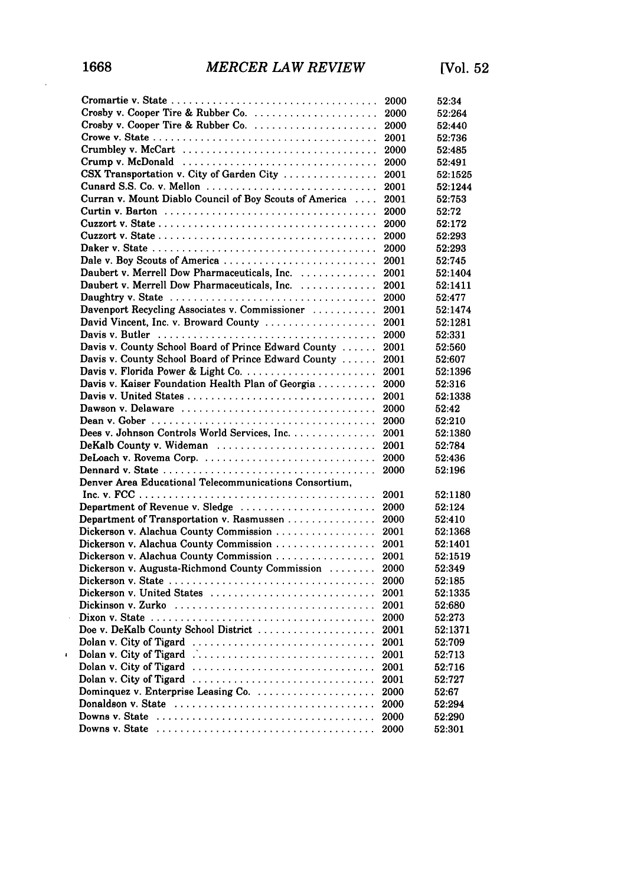$\ddot{\phantom{a}}$ 

 $\pmb{\cdot}$ 

|                                                                                                  | 2000         | 52:34            |
|--------------------------------------------------------------------------------------------------|--------------|------------------|
| Crosby v. Cooper Tire & Rubber Co.                                                               | 2000         | 52:264           |
| Crosby v. Cooper Tire & Rubber Co.                                                               | 2000         | 52:440           |
|                                                                                                  | 2001         | 52:736           |
| Crumbley v. McCart                                                                               | 2000         | 52:485           |
| Crump v. McDonald $\ldots \ldots \ldots \ldots \ldots \ldots \ldots \ldots \ldots \ldots \ldots$ | 2000         | 52:491           |
| CSX Transportation v. City of Garden City                                                        | 2001         | 52:1525          |
| Cunard S.S. Co. v. Mellon                                                                        | 2001         | 52:1244          |
| Curran v. Mount Diablo Council of Boy Scouts of America                                          | 2001         | 52:753           |
|                                                                                                  | 2000         | 52:72            |
|                                                                                                  | 2000         | 52:172           |
|                                                                                                  | 2000         | 52:293           |
|                                                                                                  | 2000         | 52:293           |
| Dale v. Boy Scouts of America                                                                    | 2001         | 52:745           |
| Daubert v. Merrell Dow Pharmaceuticals, Inc.                                                     | 2001         | 52:1404          |
| Daubert v. Merrell Dow Pharmaceuticals, Inc.                                                     | 2001         | 52:1411          |
|                                                                                                  | 2000         | 52:477           |
| Davenport Recycling Associates v. Commissioner                                                   | 2001         | 52:1474          |
| David Vincent, Inc. v. Broward County                                                            | 2001         | 52:1281          |
|                                                                                                  | 2000         | 52:331           |
| Davis v. County School Board of Prince Edward County                                             | 2001         | 52:560           |
| Davis v. County School Board of Prince Edward County                                             | 2001         | 52:607           |
|                                                                                                  | 2001         | 52:1396          |
| Davis v. Kaiser Foundation Health Plan of Georgia                                                | 2000         | 52:316           |
| Davis v. United States                                                                           | 2001         | 52:1338          |
| Dawson v. Delaware                                                                               | 2000         | 52:42            |
|                                                                                                  | 2000         | 52:210           |
| Dees v. Johnson Controls World Services, Inc.                                                    | 2001         | 52:1380          |
| DeKalb County v. Wideman                                                                         | 2001         | 52:784           |
|                                                                                                  | 2000         | 52:436           |
|                                                                                                  | 2000         | 52:196           |
| Denver Area Educational Telecommunications Consortium,                                           |              |                  |
|                                                                                                  | 2001         | 52:1180          |
| Department of Revenue v. Sledge                                                                  | 2000         | 52:124           |
| Department of Transportation v. Rasmussen                                                        | 2000         | 52:410           |
| Dickerson v. Alachua County Commission                                                           | 2001         | 52:1368          |
| Dickerson v. Alachua County Commission                                                           | 2001         | 52:1401          |
| Dickerson v. Alachua County Commission                                                           | 2001         | 52:1519          |
| Dickerson v. Augusta-Richmond County Commission                                                  | 2000         | 52:349           |
|                                                                                                  | 2000         | 52:185           |
| Dickerson v. United States                                                                       | 2001         | 52:1335          |
|                                                                                                  | 2001         | 52.680           |
|                                                                                                  | 2000         | 52:273           |
| Doe v. DeKalb County School District                                                             | 2001         | 52:1371          |
| Dolan v. City of Tigard                                                                          | 2001         | 52:709           |
|                                                                                                  | 2001         | 52:713           |
| Dolan v. City of Tigard                                                                          |              |                  |
| Dolan v. City of Tigard                                                                          | 2001<br>2001 | 52:716<br>52:727 |
| Dolan v. City of Tigard                                                                          |              |                  |
| Dominquez v. Enterprise Leasing Co.                                                              | 2000         | 52:67            |
|                                                                                                  | 2000         | 52:294           |
|                                                                                                  | 2000         | 52:290           |
|                                                                                                  | 2000         | 52:301           |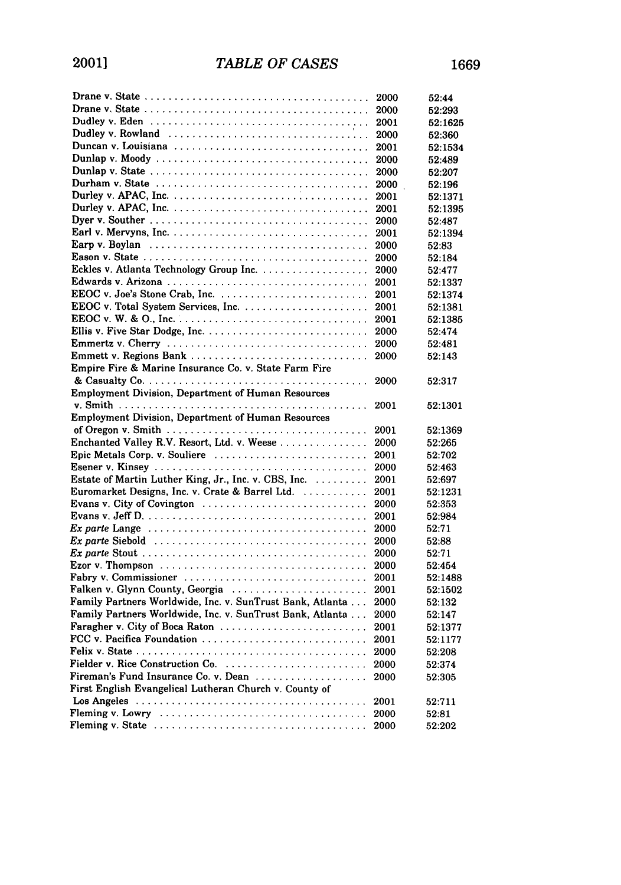|                                                                                                             | 2000 | 52:44   |
|-------------------------------------------------------------------------------------------------------------|------|---------|
| Drane v. State $\ldots \ldots \ldots \ldots \ldots \ldots \ldots \ldots \ldots \ldots \ldots \ldots \ldots$ | 2000 | 52:293  |
|                                                                                                             | 2001 | 52:1625 |
|                                                                                                             | 2000 | 52:360  |
|                                                                                                             | 2001 | 52:1534 |
|                                                                                                             | 2000 | 52:489  |
|                                                                                                             | 2000 | 52:207  |
|                                                                                                             | 2000 | 52:196  |
|                                                                                                             | 2001 | 52:1371 |
|                                                                                                             | 2001 | 52:1395 |
|                                                                                                             | 2000 | 52:487  |
|                                                                                                             | 2001 | 52:1394 |
|                                                                                                             | 2000 | 52:83   |
|                                                                                                             | 2000 | 52:184  |
|                                                                                                             | 2000 | 52:477  |
|                                                                                                             | 2001 | 52:1337 |
| EEOC v. Joe's Stone Crab, Inc.                                                                              | 2001 | 52:1374 |
|                                                                                                             | 2001 | 52:1381 |
|                                                                                                             | 2001 | 52:1385 |
|                                                                                                             | 2000 | 52:474  |
|                                                                                                             | 2000 | 52:481  |
|                                                                                                             | 2000 | 52:143  |
| Empire Fire & Marine Insurance Co. v. State Farm Fire                                                       |      |         |
|                                                                                                             | 2000 | 52:317  |
| <b>Employment Division, Department of Human Resources</b>                                                   |      |         |
|                                                                                                             | 2001 | 52:1301 |
| Employment Division, Department of Human Resources                                                          |      |         |
|                                                                                                             | 2001 | 52:1369 |
| Enchanted Valley R.V. Resort, Ltd. v. Weese                                                                 | 2000 | 52:265  |
| Epic Metals Corp. v. Souliere                                                                               | 2001 | 52:702  |
|                                                                                                             | 2000 | 52:463  |
| Estate of Martin Luther King, Jr., Inc. v. CBS, Inc.                                                        | 2001 | 52:697  |
| Euromarket Designs, Inc. v. Crate & Barrel Ltd.                                                             | 2001 | 52:1231 |
| Evans v. City of Covington $\ldots \ldots \ldots \ldots \ldots \ldots \ldots \ldots \ldots$                 | 2000 | 52:353  |
|                                                                                                             | 2001 | 52:984  |
| Ex parte Lange $\ldots \ldots \ldots \ldots \ldots \ldots \ldots \ldots \ldots \ldots \ldots \ldots$        | 2000 | 52:71   |
|                                                                                                             | 2000 | 52:88   |
|                                                                                                             | 2000 | 52:71   |
| Ezor v. Thompson $\ldots \ldots \ldots \ldots \ldots \ldots \ldots \ldots \ldots \ldots \ldots$             | 2000 | 52:454  |
| Fabry v. Commissioner $\ldots \ldots \ldots \ldots \ldots \ldots \ldots \ldots \ldots \ldots$               | 2001 | 52:1488 |
| Falken v. Glynn County, Georgia                                                                             | 2001 | 52:1502 |
| Family Partners Worldwide, Inc. v. SunTrust Bank, Atlanta                                                   | 2000 | 52:132  |
| Family Partners Worldwide, Inc. v. SunTrust Bank, Atlanta                                                   | 2000 | 52:147  |
| Faragher v. City of Boca Raton                                                                              | 2001 | 52:1377 |
| FCC v. Pacifica Foundation                                                                                  | 2001 | 52:1177 |
|                                                                                                             | 2000 | 52:208  |
| Fielder v. Rice Construction Co.                                                                            | 2000 | 52:374  |
| Fireman's Fund Insurance Co. v. Dean                                                                        | 2000 | 52:305  |
| First English Evangelical Lutheran Church v. County of                                                      |      |         |
|                                                                                                             | 2001 | 52:711  |
| Fleming v. Lowry $\ldots \ldots \ldots \ldots \ldots \ldots \ldots \ldots \ldots \ldots \ldots \ldots$      | 2000 | 52:81   |
|                                                                                                             |      |         |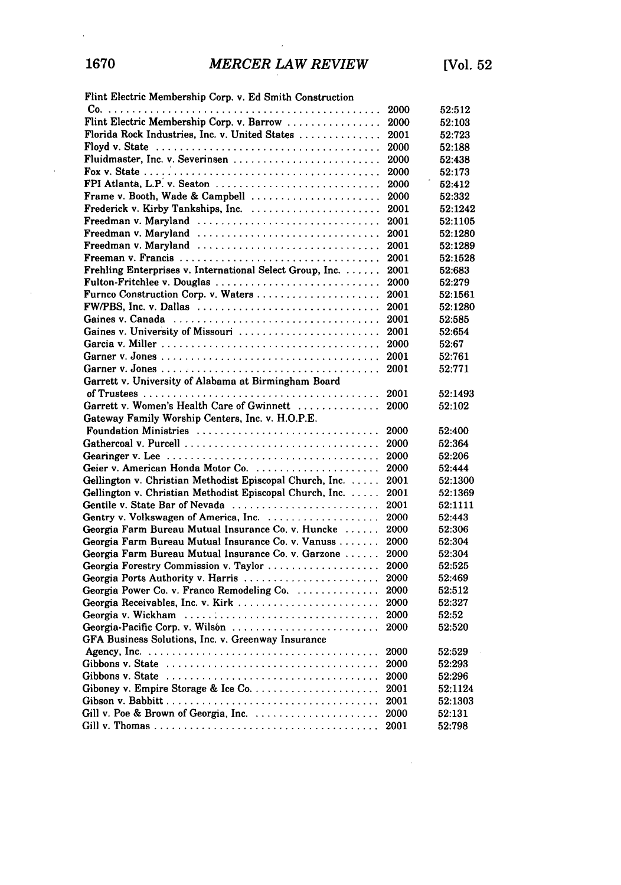$\hat{\mathcal{L}}$ 

 $\bar{z}$ 

 $\sim 10^6$ 

|  | Flint Electric Membership Corp. v. Ed Smith Construction |  |  |
|--|----------------------------------------------------------|--|--|

|                                                          | 2000 | 52:512  |
|----------------------------------------------------------|------|---------|
| Flint Electric Membership Corp. v. Barrow                | 2000 | 52:103  |
| Florida Rock Industries, Inc. v. United States           | 2001 | 52:723  |
|                                                          | 2000 | 52:188  |
| Fluidmaster, Inc. v. Severinsen                          | 2000 | 52:438  |
|                                                          | 2000 | 52:173  |
| FPI Atlanta, L.P. v. Seaton                              | 2000 | 52:412  |
| Frame v. Booth, Wade & Campbell                          | 2000 | 52:332  |
| Frederick v. Kirby Tankships, Inc.                       | 2001 | 52:1242 |
| Freedman v. Maryland                                     | 2001 | 52:1105 |
| Freedman v. Maryland                                     | 2001 | 52:1280 |
|                                                          | 2001 | 52:1289 |
|                                                          | 2001 | 52:1528 |
| Frehling Enterprises v. International Select Group, Inc. | 2001 | 52:683  |
| Fulton-Fritchlee v. Douglas                              | 2000 | 52:279  |
| Furnco Construction Corp. v. Waters                      | 2001 | 52:1561 |
| FW/PBS, Inc. v. Dallas                                   | 2001 | 52:1280 |
|                                                          | 2001 | 52:585  |
| Gaines v. University of Missouri                         | 2001 | 52:654  |
|                                                          | 2000 | 52:67   |
|                                                          | 2001 | 52:761  |
|                                                          | 2001 | 52:771  |
| Garrett v. University of Alabama at Birmingham Board     |      |         |
|                                                          | 2001 | 52:1493 |
| Garrett v. Women's Health Care of Gwinnett               | 2000 | 52:102  |
| Gateway Family Worship Centers, Inc. v. H.O.P.E.         |      |         |
| Foundation Ministries                                    | 2000 | 52:400  |
|                                                          |      |         |
|                                                          | 2000 | 52:364  |
|                                                          | 2000 | 52:206  |
| Geier v. American Honda Motor Co.                        | 2000 | 52:444  |
| Gellington v. Christian Methodist Episcopal Church, Inc. | 2001 | 52:1300 |
| Gellington v. Christian Methodist Episcopal Church, Inc. | 2001 | 52:1369 |
| Gentile v. State Bar of Nevada                           | 2001 | 52:1111 |
|                                                          | 2000 | 52:443  |
| Georgia Farm Bureau Mutual Insurance Co. v. Huncke       | 2000 | 52:306  |
| Georgia Farm Bureau Mutual Insurance Co. v. Vanuss       | 2000 | 52:304  |
| Georgia Farm Bureau Mutual Insurance Co. v. Garzone      | 2000 | 52:304  |
| Georgia Forestry Commission v. Taylor                    | 2000 | 52:525  |
| Georgia Ports Authority v. Harris                        | 2000 | 52:469  |
| Georgia Power Co. v. Franco Remodeling Co.               | 2000 | 52:512  |
| Georgia Receivables, Inc. v. Kirk                        | 2000 | 52:327  |
|                                                          | 2000 | 52:52   |
| Georgia-Pacific Corp. v. Wilsón                          | 2000 | 52:520  |
| GFA Business Solutions, Inc. v. Greenway Insurance       |      |         |
|                                                          | 2000 | 52:529  |
| Gibbons v. State                                         | 2000 | 52:293  |
|                                                          | 2000 | 52:296  |
|                                                          | 2001 | 52:1124 |
|                                                          | 2001 | 52:1303 |
|                                                          | 2000 | 52:131  |
|                                                          | 2001 | 52:798  |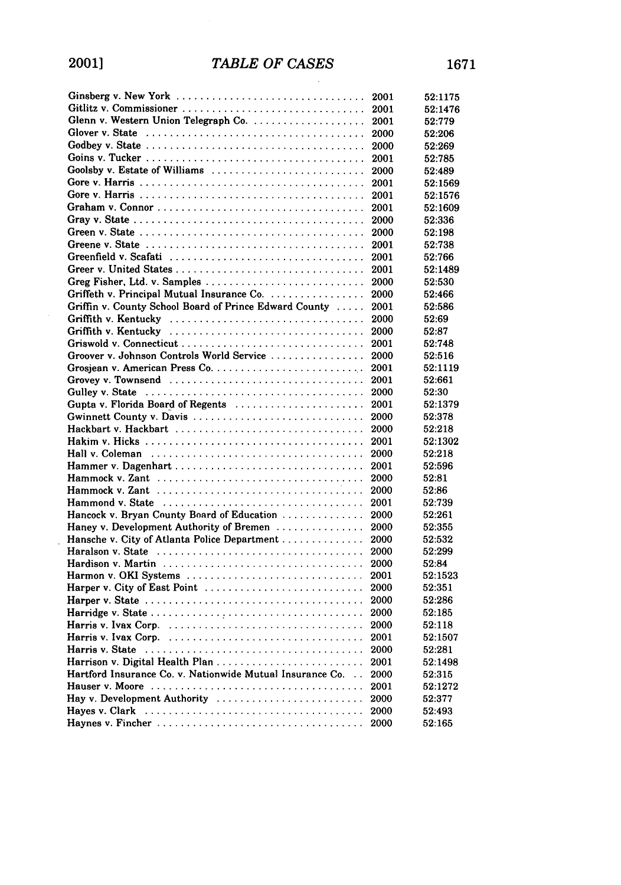| Ginsberg v. New York                                                                                 | 2001 | 52:1175 |
|------------------------------------------------------------------------------------------------------|------|---------|
| Gitlitz v. Commissioner                                                                              | 2001 | 52:1476 |
| Glenn v. Western Union Telegraph Co.                                                                 | 2001 | 52:779  |
|                                                                                                      | 2000 | 52:206  |
|                                                                                                      | 2000 | 52:269  |
|                                                                                                      | 2001 | 52:785  |
| Goolsby v. Estate of Williams                                                                        | 2000 | 52:489  |
|                                                                                                      | 2001 | 52:1569 |
|                                                                                                      | 2001 | 52:1576 |
|                                                                                                      | 2001 | 52:1609 |
|                                                                                                      | 2000 | 52:336  |
| Green v. State $\ldots \ldots \ldots \ldots \ldots \ldots \ldots \ldots \ldots \ldots \ldots \ldots$ | 2000 | 52:198  |
|                                                                                                      | 2001 | 52:738  |
| Greenfield v. Scafati                                                                                | 2001 | 52:766  |
|                                                                                                      | 2001 | 52:1489 |
| Greg Fisher, Ltd. v. Samples                                                                         | 2000 | 52:530  |
| Griffeth v. Principal Mutual Insurance Co.                                                           | 2000 | 52:466  |
| Griffin v. County School Board of Prince Edward County                                               | 2001 | 52:586  |
| Griffith v. Kentucky                                                                                 | 2000 | 52:69   |
| Griffith v. Kentucky                                                                                 | 2000 | 52:87   |
|                                                                                                      |      |         |
|                                                                                                      | 2001 | 52:748  |
| Groover v. Johnson Controls World Service                                                            | 2000 | 52:516  |
|                                                                                                      | 2001 | 52:1119 |
| Grovey v. Townsend                                                                                   | 2001 | 52:661  |
| Gulley v. State                                                                                      | 2000 | 52:30   |
| Gupta v. Florida Board of Regents                                                                    | 2001 | 52:1379 |
| Gwinnett County v. Davis                                                                             | 2000 | 52:378  |
| Hackbart v. Hackbart                                                                                 | 2000 | 52:218  |
|                                                                                                      | 2001 | 52:1302 |
|                                                                                                      | 2000 | 52:218  |
|                                                                                                      | 2001 | 52:596  |
|                                                                                                      | 2000 | 52:81   |
|                                                                                                      | 2000 | 52:86   |
|                                                                                                      | 2001 | 52:739  |
| Hancock v. Bryan County Board of Education                                                           | 2000 | 52:261  |
| Haney v. Development Authority of Bremen                                                             | 2000 | 52:355  |
| Hansche v. City of Atlanta Police Department                                                         | 2000 | 52:532  |
|                                                                                                      | 2000 | 52:299  |
|                                                                                                      | 2000 | 52:84   |
| Harmon v. OKI Systems                                                                                | 2001 | 52:1523 |
| Harper v. City of East Point                                                                         | 2000 | 52:351  |
|                                                                                                      | 2000 | 52:286  |
|                                                                                                      | 2000 | 52:185  |
|                                                                                                      | 2000 | 52:118  |
|                                                                                                      | 2001 | 52:1507 |
|                                                                                                      | 2000 | 52:281  |
|                                                                                                      | 2001 | 52:1498 |
| Hartford Insurance Co. v. Nationwide Mutual Insurance Co.                                            | 2000 | 52:315  |
|                                                                                                      | 2001 | 52:1272 |
| Hay v. Development Authority                                                                         | 2000 | 52:377  |
| Haves v. Clark                                                                                       | 2000 | 52:493  |
|                                                                                                      | 2000 | 52:165  |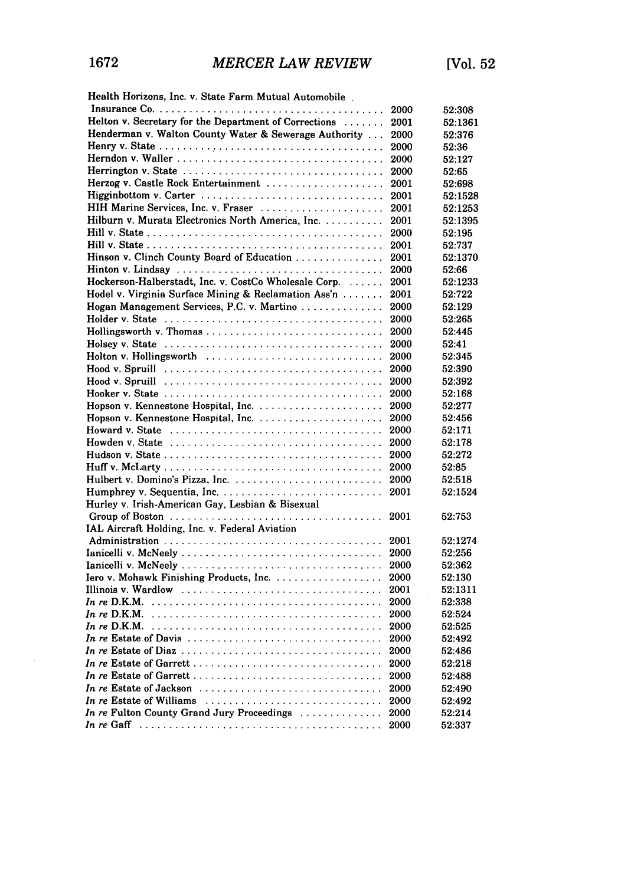| Health Horizons, Inc. v. State Farm Mutual Automobile.                                                  |      |         |
|---------------------------------------------------------------------------------------------------------|------|---------|
|                                                                                                         | 2000 | 52:308  |
| Helton v. Secretary for the Department of Corrections                                                   | 2001 | 52:1361 |
| Henderman v. Walton County Water & Sewerage Authority                                                   | 2000 | 52:376  |
|                                                                                                         | 2000 | 52:36   |
|                                                                                                         | 2000 | 52:127  |
|                                                                                                         | 2000 | 52:65   |
| Herzog v. Castle Rock Entertainment                                                                     | 2001 | 52:698  |
|                                                                                                         | 2001 | 52:1528 |
| HIH Marine Services, Inc. v. Fraser                                                                     | 2001 | 52:1253 |
| Hilburn v. Murata Electronics North America, Inc.                                                       | 2001 | 52:1395 |
|                                                                                                         | 2000 | 52:195  |
|                                                                                                         | 2001 | 52:737  |
| Hinson v. Clinch County Board of Education                                                              | 2001 | 52:1370 |
|                                                                                                         | 2000 | 52:66   |
| Hockerson-Halberstadt, Inc. v. CostCo Wholesale Corp.                                                   | 2001 | 52:1233 |
| Hodel v. Virginia Surface Mining & Reclamation Ass'n                                                    | 2001 | 52:722  |
| Hogan Management Services, P.C. v. Martino                                                              | 2000 | 52:129  |
|                                                                                                         | 2000 | 52:265  |
|                                                                                                         | 2000 | 52:445  |
|                                                                                                         | 2000 | 52:41   |
| Holton v. Hollingsworth                                                                                 | 2000 | 52:345  |
|                                                                                                         | 2000 | 52:390  |
| $Hood$ v. Spruill $\ldots \ldots \ldots \ldots \ldots \ldots \ldots \ldots \ldots \ldots$               | 2000 | 52:392  |
|                                                                                                         | 2000 | 52:168  |
|                                                                                                         | 2000 | 52:277  |
|                                                                                                         | 2000 | 52:456  |
|                                                                                                         | 2000 | 52:171  |
|                                                                                                         | 2000 | 52:178  |
|                                                                                                         | 2000 | 52:272  |
|                                                                                                         | 2000 | 52:85   |
|                                                                                                         | 2000 | 52:518  |
|                                                                                                         | 2001 | 52:1524 |
| Hurley v. Irish-American Gay, Lesbian & Bisexual                                                        |      |         |
|                                                                                                         | 2001 | 52:753  |
| IAL Aircraft Holding, Inc. v. Federal Aviation                                                          |      |         |
|                                                                                                         | 2001 | 52:1274 |
|                                                                                                         | 2000 | 52:256  |
|                                                                                                         | 2000 | 52:362  |
| Iero v. Mohawk Finishing Products, Inc.                                                                 | 2000 | 52:130  |
|                                                                                                         | 2001 | 52:1311 |
|                                                                                                         | 2000 | 52:338  |
|                                                                                                         | 2000 | 52:524  |
|                                                                                                         | 2000 | 52:525  |
| In re Estate of Davis                                                                                   | 2000 | 52:492  |
|                                                                                                         | 2000 | 52:486  |
| In re Estate of Garrett                                                                                 | 2000 | 52:218  |
|                                                                                                         | 2000 | 52:488  |
| In re Estate of Jackson $\ldots \ldots \ldots \ldots \ldots \ldots \ldots \ldots \ldots$                | 2000 | 52:490  |
| In re Estate of Williams                                                                                | 2000 | 52:492  |
| In re Fulton County Grand Jury Proceedings                                                              | 2000 | 52:214  |
| In re Gaff $\ldots \ldots \ldots \ldots \ldots \ldots \ldots \ldots \ldots \ldots \ldots \ldots \ldots$ | 2000 | 52:337  |
|                                                                                                         |      |         |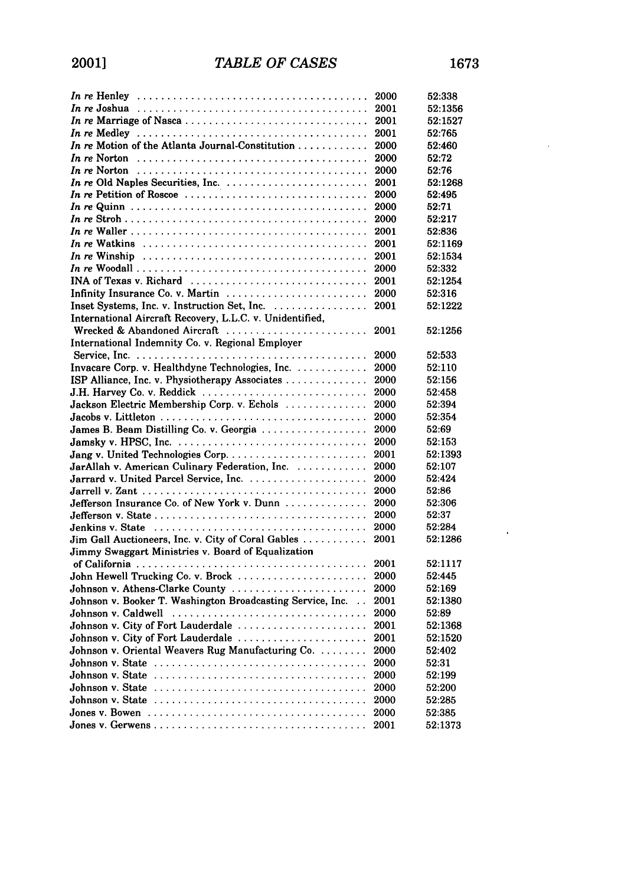$\alpha=0$ 

|                                                                                                      |              | 52:338          |
|------------------------------------------------------------------------------------------------------|--------------|-----------------|
|                                                                                                      | 2001         | 52:1356         |
|                                                                                                      |              | 52:1527         |
|                                                                                                      |              | 52:765          |
|                                                                                                      | 2000         | 52:460          |
| In re Norton $\ldots \ldots \ldots \ldots \ldots \ldots \ldots \ldots \ldots \ldots \ldots \ldots$   | 2000         | 52:72           |
|                                                                                                      | 2000         | 52:76           |
|                                                                                                      | 2001         | 52:1268         |
|                                                                                                      | 2000         | 52:495          |
|                                                                                                      | 2000         | 52:71           |
|                                                                                                      | 2000         | 52:217          |
|                                                                                                      | 2001         | 52:836          |
| In re Watkins $\ldots \ldots \ldots \ldots \ldots \ldots \ldots \ldots \ldots \ldots \ldots \ldots$  | 2001         | 52:1169         |
| In re Winship $\ldots \ldots \ldots \ldots \ldots \ldots \ldots \ldots \ldots \ldots \ldots \ldots$  | 2001         | 52:1534         |
|                                                                                                      | 2000         | 52:332          |
| INA of Texas v. Richard                                                                              | 2001         | 52:1254         |
| Infinity Insurance Co. v. Martin $\ldots \ldots \ldots \ldots \ldots \ldots \ldots$                  | 2000         | 52:316          |
| Inset Systems, Inc. v. Instruction Set, Inc.                                                         | 2001         | 52:1222         |
| International Aircraft Recovery, L.L.C. v. Unidentified,                                             |              |                 |
| Wrecked & Abandoned Aircraft                                                                         | 2001         | 52:1256         |
| International Indemnity Co. v. Regional Employer                                                     |              |                 |
|                                                                                                      | 2000         | 52:533          |
| Invacare Corp. v. Healthdyne Technologies, Inc.                                                      | 2000         | 52:110          |
| ISP Alliance, Inc. v. Physiotherapy Associates                                                       | 2000         | 52:156          |
| J.H. Harvey Co. v. Reddick                                                                           | 2000         | 52:458          |
| Jackson Electric Membership Corp. v. Echols                                                          | 2000         | 52:394          |
|                                                                                                      | 2000         | 52:354          |
| James B. Beam Distilling Co. v. Georgia                                                              | 2000         | 52:69           |
|                                                                                                      | 2000         | 52:153          |
|                                                                                                      | 2001         | 52:1393         |
| JarAllah v. American Culinary Federation, Inc.                                                       | 2000         | 52:107          |
| Jarrard v. United Parcel Service, Inc.                                                               | 2000         | 52:424          |
|                                                                                                      | 2000         | 52:86           |
| Jefferson Insurance Co. of New York v. Dunn                                                          | 2000         | 52:306          |
|                                                                                                      | 2000         | 52:37           |
|                                                                                                      | 2000         | 52:284          |
| Jim Gall Auctioneers, Inc. v. City of Coral Gables                                                   | 2001         | 52:1286         |
| Jimmy Swaggart Ministries v. Board of Equalization                                                   |              |                 |
|                                                                                                      | 2001         | 52:1117         |
| John Hewell Trucking Co. v. Brock                                                                    | 2000         | 52:445          |
| Johnson v. Athens-Clarke County                                                                      | 2000         | 52:169          |
| Johnson v. Booker T. Washington Broadcasting Service, Inc.                                           | 2001         | 52:1380         |
| Johnson v. Caldwell                                                                                  | 2000         | 52:89           |
| Johnson v. City of Fort Lauderdale                                                                   | 2001         | 52:1368         |
| Johnson v. City of Fort Lauderdale                                                                   | 2001         | 52:1520         |
| Johnson v. Oriental Weavers Rug Manufacturing Co.                                                    | 2000         | 52:402          |
|                                                                                                      |              |                 |
| Johnson v. State $\ldots \ldots \ldots \ldots \ldots \ldots \ldots \ldots \ldots \ldots \ldots$      | 2000<br>2000 | 52:31<br>52:199 |
|                                                                                                      |              |                 |
| Johnson v. State $\ldots \ldots \ldots \ldots \ldots \ldots \ldots \ldots \ldots \ldots \ldots$      | 2000         | 52:200          |
|                                                                                                      | 2000         | 52:285          |
| Jones v. Bowen $\ldots \ldots \ldots \ldots \ldots \ldots \ldots \ldots \ldots \ldots \ldots \ldots$ | 2000         | 52:385          |
|                                                                                                      | 2001         | 52:1373         |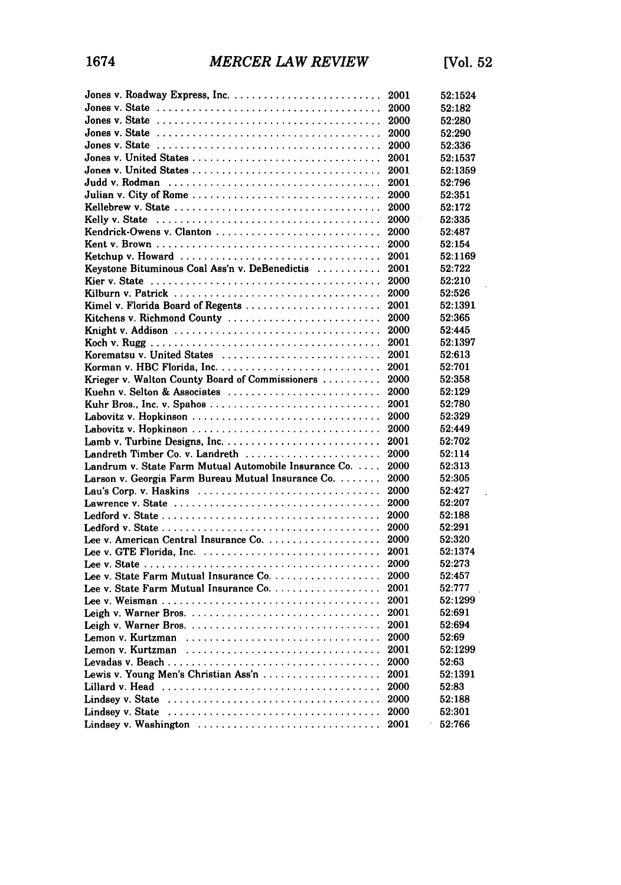|                                                                                                      | 2001         | 52:1524           |
|------------------------------------------------------------------------------------------------------|--------------|-------------------|
|                                                                                                      | 2000         | 52:182            |
|                                                                                                      |              | 52:280            |
|                                                                                                      | 2000         | 52:290            |
| Jones v. State $\ldots \ldots \ldots \ldots \ldots \ldots \ldots \ldots \ldots \ldots \ldots \ldots$ | 2000         | 52:336            |
|                                                                                                      | 2001         | 52:1537           |
|                                                                                                      | 2001         | 52:1359           |
|                                                                                                      | 2001         | 52:796            |
|                                                                                                      | 2000         | 52:351            |
|                                                                                                      | 2000         | 52:172            |
|                                                                                                      | 2000         | 52:335            |
|                                                                                                      | 2000         | 52:487            |
|                                                                                                      | 2000         | 52:154            |
|                                                                                                      | 2001         | 52:1169           |
| Keystone Bituminous Coal Ass'n v. DeBenedictis                                                       | 2001         | 52:722            |
|                                                                                                      | 2000         | 52:210            |
|                                                                                                      | 2000         | 52:526            |
| Kimel v. Florida Board of Regents                                                                    | 2001         | 52:1391           |
| Kitchens v. Richmond County                                                                          | 2000         | 52:365            |
|                                                                                                      | 2000         | 52:445            |
|                                                                                                      | 2001         | 52:1397           |
| Korematsu v. United States                                                                           | 2001         | 52:613            |
|                                                                                                      | 2001         | 52:701            |
| Krieger v. Walton County Board of Commissioners                                                      | 2000         | 52:358            |
| Kuehn v. Selton & Associates                                                                         | 2000         | 52:129            |
| Kuhr Bros., Inc. v. Spahos                                                                           | 2001         | 52:780            |
|                                                                                                      | 2000         | 52:329            |
|                                                                                                      | 2000         | 52:449            |
|                                                                                                      | 2001         | 52:702            |
| Landreth Timber Co. v. Landreth                                                                      | 2000         | 52:114            |
| Landrum v. State Farm Mutual Automobile Insurance Co.                                                | 2000         | 52:313            |
| Larson v. Georgia Farm Bureau Mutual Insurance Co.                                                   | 2000         | 52:305            |
| Lau's Corp. v. Haskins                                                                               | 2000         | 52:427            |
|                                                                                                      | 2000         | 52:207            |
|                                                                                                      | 2000         | 52:188            |
|                                                                                                      | 2000         | 52:291            |
|                                                                                                      | 2000         | 52:320            |
|                                                                                                      | 2001         | 52:1374<br>52:273 |
|                                                                                                      | 2000<br>2000 |                   |
|                                                                                                      | 2001         | 52:457<br>52:777  |
|                                                                                                      | 2001         | 52:1299           |
|                                                                                                      | 2001         | 52:691            |
|                                                                                                      | 2001         | 52:694            |
|                                                                                                      | 2000         | 52:69             |
| Lemon v. Kurtzman                                                                                    | 2001         | 52:1299           |
|                                                                                                      | 2000         | 52:63             |
| Lewis v. Young Men's Christian Ass'n                                                                 | 2001         | 52:1391           |
|                                                                                                      | 2000         | 52:83             |
|                                                                                                      | 2000         | 52:188            |
| Lindsey v. State $\ldots \ldots \ldots \ldots \ldots \ldots \ldots \ldots \ldots \ldots \ldots$      | 2000         | 52:301            |
| Lindsey v. Washington                                                                                | 2001         | 52:766            |
|                                                                                                      |              |                   |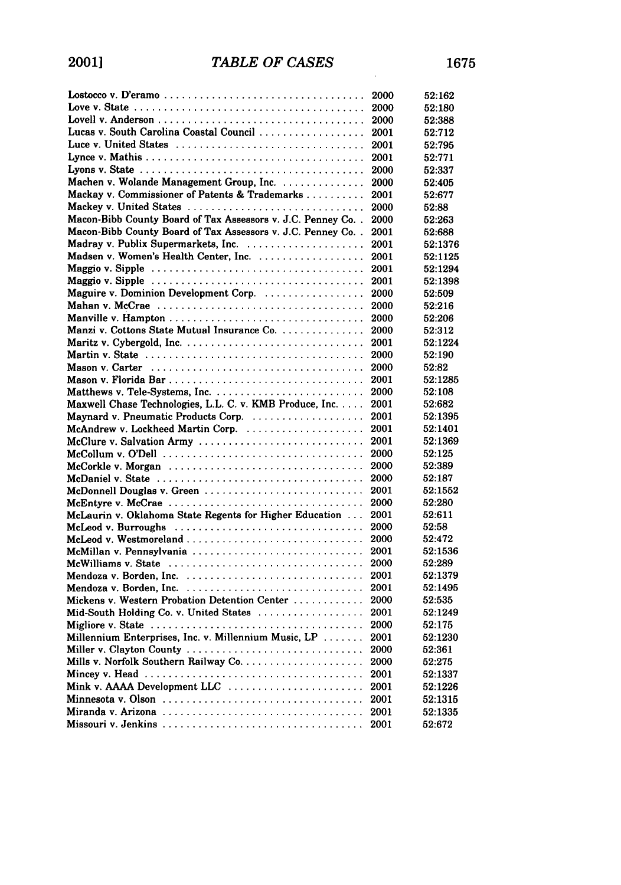|                                                                                                   | 2000 | 52:162  |
|---------------------------------------------------------------------------------------------------|------|---------|
| Love v. State $\ldots \ldots \ldots \ldots \ldots \ldots \ldots \ldots \ldots \ldots \ldots$      | 2000 | 52:180  |
|                                                                                                   | 2000 | 52:388  |
| Lucas v. South Carolina Coastal Council                                                           | 2001 | 52:712  |
| Luce v. United States                                                                             | 2001 | 52:795  |
|                                                                                                   | 2001 | 52:771  |
|                                                                                                   | 2000 | 52:337  |
| Machen v. Wolande Management Group, Inc.                                                          | 2000 | 52:405  |
| Mackay v. Commissioner of Patents & Trademarks                                                    | 2001 | 52:677  |
| Mackey v. United States                                                                           | 2000 | 52:88   |
| Macon-Bibb County Board of Tax Assessors v. J.C. Penney Co                                        | 2000 | 52:263  |
| Macon-Bibb County Board of Tax Assessors v. J.C. Penney Co                                        | 2001 | 52:688  |
|                                                                                                   | 2001 | 52:1376 |
| Madsen v. Women's Health Center, Inc.                                                             | 2001 | 52:1125 |
|                                                                                                   | 2001 | 52:1294 |
|                                                                                                   | 2001 | 52:1398 |
| Maguire v. Dominion Development Corp.                                                             | 2000 | 52:509  |
|                                                                                                   | 2000 | 52:216  |
|                                                                                                   | 2000 | 52:206  |
| Manzi v. Cottons State Mutual Insurance Co.                                                       | 2000 | 52:312  |
|                                                                                                   | 2001 | 52:1224 |
|                                                                                                   | 2000 | 52:190  |
|                                                                                                   | 2000 | 52:82   |
|                                                                                                   | 2001 | 52:1285 |
|                                                                                                   | 2000 | 52:108  |
| Maxwell Chase Technologies, L.L. C. v. KMB Produce, Inc.                                          | 2001 | 52:682  |
|                                                                                                   | 2001 | 52:1395 |
|                                                                                                   | 2001 | 52:1401 |
| McClure v. Salvation Army                                                                         | 2001 | 52:1369 |
| McCollum v. O'Dell $\ldots \ldots \ldots \ldots \ldots \ldots \ldots \ldots \ldots \ldots \ldots$ | 2000 | 52:125  |
|                                                                                                   | 2000 | 52:389  |
|                                                                                                   | 2000 | 52:187  |
| McDonnell Douglas v. Green                                                                        | 2001 | 52:1552 |
| McEntyre v. McCrae $\ldots \ldots \ldots \ldots \ldots \ldots \ldots \ldots \ldots \ldots \ldots$ | 2000 | 52:280  |
| McLaurin v. Oklahoma State Regents for Higher Education                                           | 2001 | 52:611  |
| McLeod v. Burroughs                                                                               | 2000 | 52:58   |
|                                                                                                   | 2000 | 52:472  |
| McMillan v. Pennsylvania                                                                          | 2001 | 52:1536 |
|                                                                                                   | 2000 | 52:289  |
|                                                                                                   | 2001 | 52:1379 |
|                                                                                                   | 2001 | 52:1495 |
| Mickens v. Western Probation Detention Center                                                     | 2000 | 52:535  |
| Mid-South Holding Co. v. United States                                                            | 2001 | 52:1249 |
|                                                                                                   | 2000 | 52:175  |
| Millennium Enterprises, Inc. v. Millennium Music, LP                                              | 2001 | 52:1230 |
| Miller v. Clayton County                                                                          | 2000 | 52:361  |
|                                                                                                   | 2000 | 52:275  |
|                                                                                                   | 2001 | 52:1337 |
|                                                                                                   | 2001 | 52:1226 |
|                                                                                                   | 2001 | 52:1315 |
|                                                                                                   | 2001 | 52:1335 |
|                                                                                                   | 2001 | 52:672  |
|                                                                                                   |      |         |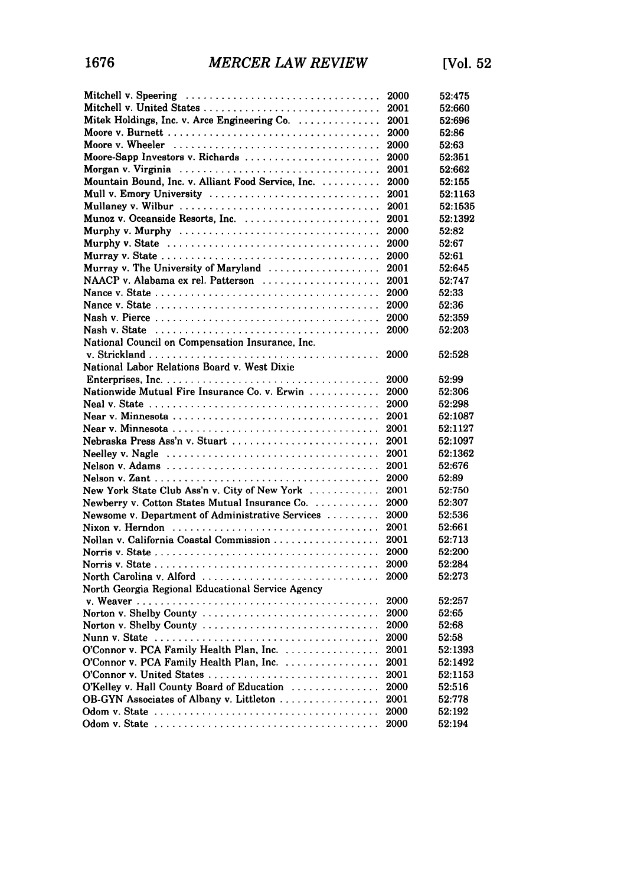| Mitchell v. Speering                                                                           | 2000 | 52:475  |
|------------------------------------------------------------------------------------------------|------|---------|
|                                                                                                | 2001 | 52:660  |
| Mitek Holdings, Inc. v. Arce Engineering $Co.$                                                 | 2001 | 52:696  |
|                                                                                                | 2000 | 52:86   |
|                                                                                                | 2000 | 52:63   |
| Moore-Sapp Investors v. Richards                                                               | 2000 | 52:351  |
|                                                                                                | 2001 | 52:662  |
| Mountain Bound, Inc. v. Alliant Food Service, Inc.                                             | 2000 | 52:155  |
| Mull v. Emory University                                                                       | 2001 | 52:1163 |
|                                                                                                | 2001 | 52:1535 |
| Munoz v. Oceanside Resorts, Inc.                                                               | 2001 | 52:1392 |
| Murphy v. Murphy                                                                               | 2000 | 52:82   |
| Murphy v. State $\ldots \ldots \ldots \ldots \ldots \ldots \ldots \ldots \ldots \ldots \ldots$ | 2000 | 52:67   |
|                                                                                                | 2000 | 52:61   |
|                                                                                                | 2001 | 52:645  |
| NAACP v. Alabama ex rel. Patterson                                                             | 2001 | 52:747  |
|                                                                                                | 2000 | 52:33   |
|                                                                                                | 2000 | 52:36   |
|                                                                                                | 2000 | 52:359  |
| Nash v. State $\ldots \ldots \ldots \ldots \ldots \ldots \ldots \ldots \ldots \ldots \ldots$   | 2000 | 52:203  |
| National Council on Compensation Insurance, Inc.                                               |      |         |
|                                                                                                | 2000 | 52:528  |
| National Labor Relations Board v. West Dixie                                                   |      |         |
|                                                                                                | 2000 | 52:99   |
| Nationwide Mutual Fire Insurance Co. v. Erwin                                                  | 2000 | 52:306  |
|                                                                                                | 2000 | 52:298  |
|                                                                                                | 2001 | 52:1087 |
|                                                                                                | 2001 | 52:1127 |
| Nebraska Press Ass'n v. Stuart                                                                 | 2001 | 52:1097 |
|                                                                                                | 2001 | 52:1362 |
|                                                                                                | 2001 | 52:676  |
|                                                                                                | 2000 | 52:89   |
| New York State Club Ass'n v. City of New York                                                  | 2001 | 52:750  |
| Newberry v. Cotton States Mutual Insurance Co.                                                 | 2000 | 52:307  |
| Newsome v. Department of Administrative Services                                               | 2000 | 52:536  |
|                                                                                                | 2001 | 52:661  |
| Nollan v. California Coastal Commission                                                        | 2001 | 52:713  |
|                                                                                                | 2000 | 52:200  |
|                                                                                                | 2000 | 52:284  |
| North Carolina v. Alford                                                                       | 2000 | 52:273  |
| North Georgia Regional Educational Service Agency                                              |      |         |
|                                                                                                | 2000 | 52:257  |
| Norton v. Shelby County                                                                        | 2000 | 52:65   |
| Norton v. Shelby County                                                                        | 2000 | 52:68   |
|                                                                                                | 2000 | 52:58   |
|                                                                                                | 2001 | 52:1393 |
| O'Connor v. PCA Family Health Plan, Inc.<br>O'Connor v. PCA Family Health Plan, Inc.           | 2001 | 52:1492 |
|                                                                                                | 2001 | 52:1153 |
| O'Kelley v. Hall County Board of Education                                                     | 2000 | 52:516  |
| OB-GYN Associates of Albany v. Littleton                                                       |      | 52:778  |
|                                                                                                | 2001 | 52:192  |
|                                                                                                |      |         |
|                                                                                                | 2000 | 52:194  |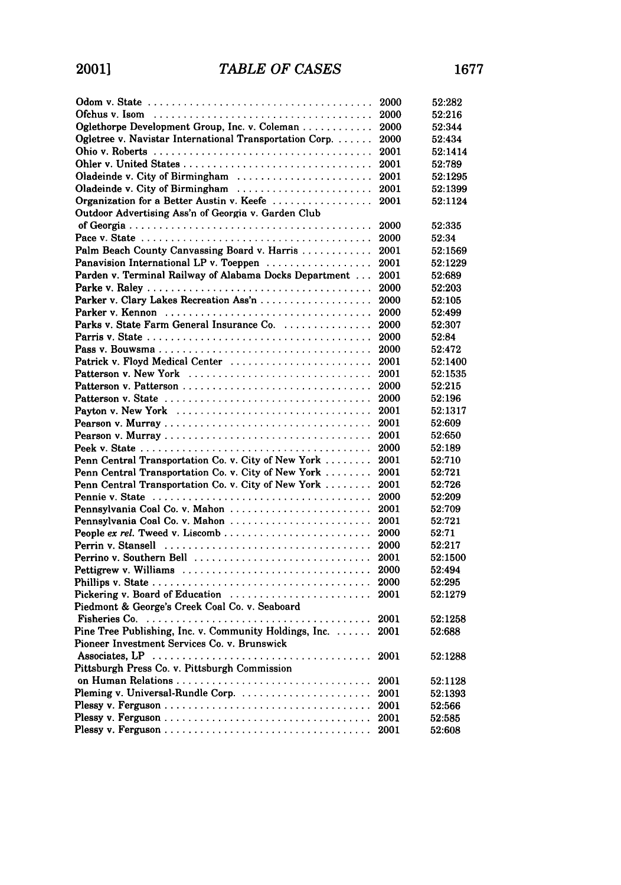|                                                                                                     | 2000 | 52:282  |
|-----------------------------------------------------------------------------------------------------|------|---------|
|                                                                                                     | 2000 | 52:216  |
| Oglethorpe Development Group, Inc. v. Coleman                                                       | 2000 | 52:344  |
| Ogletree v. Navistar International Transportation Corp.                                             | 2000 | 52:434  |
|                                                                                                     | 2001 | 52:1414 |
|                                                                                                     | 2001 | 52:789  |
| Oladeinde v. City of Birmingham                                                                     | 2001 | 52:1295 |
| Oladeinde v. City of Birmingham                                                                     | 2001 | 52:1399 |
| Organization for a Better Austin v. Keefe                                                           | 2001 | 52:1124 |
| Outdoor Advertising Ass'n of Georgia v. Garden Club                                                 |      |         |
|                                                                                                     | 2000 | 52:335  |
|                                                                                                     | 2000 | 52:34   |
| Palm Beach County Canvassing Board v. Harris                                                        | 2001 | 52:1569 |
| Panavision International LP v. Toeppen                                                              | 2001 | 52:1229 |
| Parden v. Terminal Railway of Alabama Docks Department                                              | 2001 | 52:689  |
|                                                                                                     | 2000 | 52:203  |
| Parker v. Clary Lakes Recreation Ass'n                                                              | 2000 | 52:105  |
|                                                                                                     | 2000 | 52:499  |
| Parks v. State Farm General Insurance Co.                                                           | 2000 | 52:307  |
|                                                                                                     | 2000 | 52:84   |
|                                                                                                     | 2000 | 52:472  |
| Patrick v. Floyd Medical Center                                                                     | 2001 | 52:1400 |
| Patterson v. New York                                                                               | 2001 | 52:1535 |
|                                                                                                     | 2000 | 52:215  |
|                                                                                                     | 2000 | 52:196  |
| Payton v. New York                                                                                  | 2001 | 52:1317 |
|                                                                                                     | 2001 | 52:609  |
|                                                                                                     | 2001 | 52:650  |
|                                                                                                     | 2000 | 52:189  |
| Penn Central Transportation Co. v. City of New York                                                 | 2001 | 52:710  |
| Penn Central Transportation Co. v. City of New York                                                 | 2001 | 52:721  |
| Penn Central Transportation Co. v. City of New York                                                 | 2001 | 52:726  |
|                                                                                                     | 2000 | 52:209  |
| Pennsylvania Coal Co. v. Mahon                                                                      | 2001 | 52:709  |
| Pennsylvania Coal Co. v. Mahon                                                                      | 2001 | 52:721  |
|                                                                                                     | 2000 | 52:71   |
|                                                                                                     | 2000 | 52:217  |
| Perrino v. Southern Bell                                                                            | 2001 | 52:1500 |
| Pettigrew v. Williams                                                                               | 2000 | 52:494  |
|                                                                                                     | 2000 | 52:295  |
| Pickering v. Board of Education                                                                     | 2001 | 52:1279 |
| Piedmont & George's Creek Coal Co. v. Seaboard                                                      |      |         |
| Fisheries Co. $\ldots \ldots \ldots \ldots \ldots \ldots \ldots \ldots \ldots \ldots \ldots \ldots$ | 2001 | 52:1258 |
| Pine Tree Publishing, Inc. v. Community Holdings, Inc.                                              | 2001 | 52:688  |
| Pioneer Investment Services Co. v. Brunswick                                                        |      |         |
|                                                                                                     | 2001 | 52:1288 |
| Pittsburgh Press Co. v. Pittsburgh Commission                                                       |      |         |
| on Human Relations                                                                                  | 2001 | 52:1128 |
|                                                                                                     | 2001 | 52:1393 |
|                                                                                                     | 2001 | 52:566  |
|                                                                                                     | 2001 | 52:585  |
|                                                                                                     | 2001 | 52:608  |
|                                                                                                     |      |         |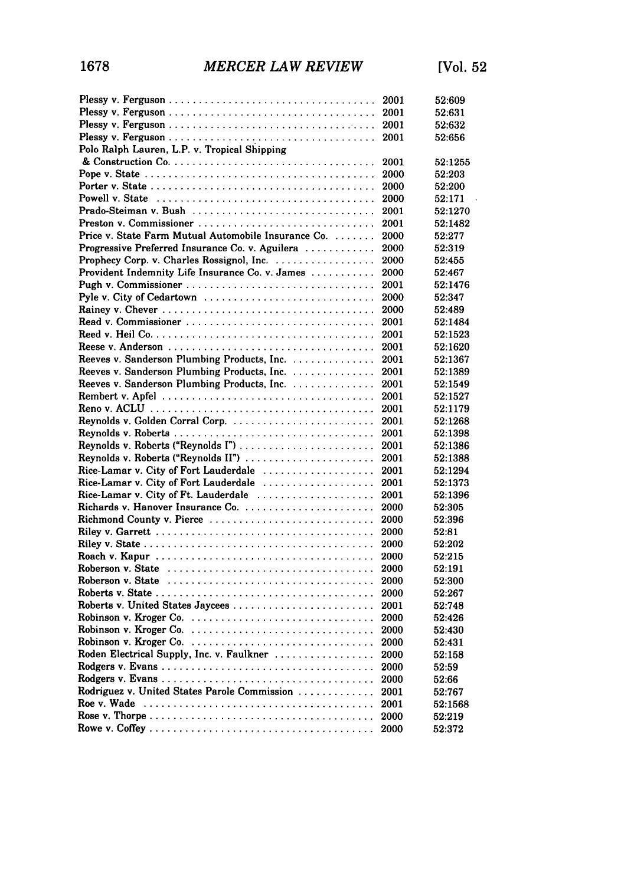|                                                     | 2001 | 52:609  |
|-----------------------------------------------------|------|---------|
|                                                     | 2001 | 52:631  |
|                                                     | 2001 | 52:632  |
|                                                     | 2001 | 52:656  |
| Polo Ralph Lauren, L.P. v. Tropical Shipping        |      |         |
|                                                     | 2001 | 52:1255 |
|                                                     | 2000 | 52:203  |
|                                                     | 2000 | 52:200  |
|                                                     | 2000 | 52:171  |
| Prado-Steiman v. Bush                               | 2001 | 52:1270 |
|                                                     | 2001 | 52:1482 |
| Price v. State Farm Mutual Automobile Insurance Co. | 2000 | 52:277  |
| Progressive Preferred Insurance Co. v. Aguilera     | 2000 | 52:319  |
|                                                     | 2000 | 52:455  |
| Provident Indemnity Life Insurance Co. v. James     | 2000 | 52:467  |
|                                                     | 2001 | 52:1476 |
| Pyle v. City of Cedartown                           | 2000 | 52:347  |
|                                                     | 2000 | 52:489  |
| Read v. Commissioner                                | 2001 | 52:1484 |
|                                                     | 2001 | 52:1523 |
|                                                     | 2001 | 52:1620 |
| Reeves v. Sanderson Plumbing Products, Inc.         | 2001 | 52:1367 |
| Reeves v. Sanderson Plumbing Products, Inc.         | 2001 | 52:1389 |
| Reeves v. Sanderson Plumbing Products, Inc.         | 2001 | 52:1549 |
|                                                     | 2001 | 52:1527 |
|                                                     | 2001 | 52:1179 |
| Reynolds v. Golden Corral Corp.                     | 2001 | 52:1268 |
|                                                     | 2001 | 52:1398 |
| Reynolds v. Roberts ("Reynolds I")                  | 2001 | 52:1386 |
| Reynolds v. Roberts ("Reynolds II")                 | 2001 | 52:1388 |
| Rice-Lamar v. City of Fort Lauderdale               | 2001 | 52:1294 |
| Rice-Lamar v. City of Fort Lauderdale               | 2001 | 52:1373 |
| Rice-Lamar v. City of Ft. Lauderdale                | 2001 | 52:1396 |
|                                                     | 2000 | 52:305  |
| Richmond County v. Pierce                           | 2000 | 52:396  |
|                                                     | 2000 | 52:81   |
|                                                     | 2000 | 52:202  |
|                                                     | 2000 | 52:215  |
| Roberson v. State                                   | 2000 | 52:191  |
|                                                     | 2000 | 52:300  |
|                                                     | 2000 | 52:267  |
| Roberts v. United States Jaycees                    | 2001 | 52:748  |
|                                                     | 2000 | 52:426  |
| Robinson v. Kroger Co                               | 2000 | 52:430  |
|                                                     | 2000 | 52:431  |
| Roden Electrical Supply, Inc. v. Faulkner           | 2000 | 52:158  |
|                                                     | 2000 | 52:59   |
|                                                     | 2000 | 52:66   |
| Rodriguez v. United States Parole Commission        | 2001 | 52:767  |
| Roe v. Wade                                         | 2001 | 52:1568 |
|                                                     | 2000 | 52:219  |
|                                                     |      | 52:372  |
|                                                     |      |         |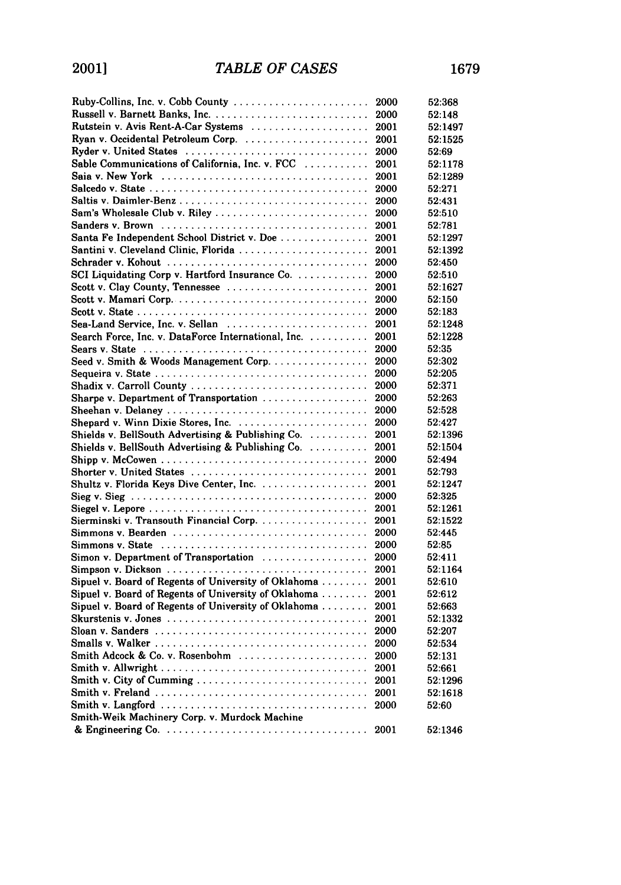| Ruby-Collins, Inc. v. Cobb County                                                                      | 2000 | 52:368  |
|--------------------------------------------------------------------------------------------------------|------|---------|
| Russell v. Barnett Banks, Inc.                                                                         | 2000 | 52:148  |
| Rutstein v. Avis Rent-A-Car Systems                                                                    | 2001 | 52:1497 |
| Ryan v. Occidental Petroleum Corp.                                                                     | 2001 | 52:1525 |
| Ryder v. United States                                                                                 | 2000 | 52:69   |
| Sable Communications of California, Inc. v. FCC                                                        | 2001 | 52:1178 |
|                                                                                                        | 2001 | 52:1289 |
| Salcedo v. State $\ldots \ldots \ldots \ldots \ldots \ldots \ldots \ldots \ldots \ldots \ldots \ldots$ | 2000 | 52:271  |
| Saltis v. Daimler-Benz                                                                                 | 2000 | 52:431  |
| Sam's Wholesale Club v. Riley                                                                          | 2000 | 52:510  |
|                                                                                                        | 2001 | 52:781  |
| Santa Fe Independent School District v. Doe                                                            | 2001 | 52:1297 |
| Santini v. Cleveland Clinic, Florida                                                                   | 2001 | 52:1392 |
| Schrader v. Kohout                                                                                     | 2000 | 52:450  |
| SCI Liquidating Corp v. Hartford Insurance Co. $\ldots$                                                | 2000 | 52:510  |
| Scott v. Clay County, Tennessee                                                                        | 2001 | 52:1627 |
| Scott v. Mamari Corp                                                                                   | 2000 | 52:150  |
|                                                                                                        | 2000 | 52:183  |
| Sea-Land Service, Inc. v. Sellan $\ldots \ldots \ldots \ldots \ldots \ldots \ldots$                    | 2001 | 52:1248 |
| Search Force, Inc. v. DataForce International, Inc.                                                    | 2001 | 52:1228 |
|                                                                                                        | 2000 | 52:35   |
| Seed v. Smith & Woods Management Corp.                                                                 | 2000 | 52:302  |
|                                                                                                        | 2000 | 52:205  |
| Shadix v. Carroll County                                                                               | 2000 | 52:371  |
| Sharpe v. Department of Transportation                                                                 | 2000 | 52:263  |
|                                                                                                        | 2000 | 52:528  |
|                                                                                                        | 2000 | 52:427  |
| Shields v. BellSouth Advertising & Publishing Co.                                                      | 2001 | 52:1396 |
| Shields v. BellSouth Advertising & Publishing $Co.$                                                    | 2001 | 52:1504 |
|                                                                                                        | 2000 | 52:494  |
| Shorter v. United States                                                                               | 2001 | 52:793  |
| Shultz v. Florida Keys Dive Center, Inc.                                                               | 2001 | 52:1247 |
|                                                                                                        | 2000 | 52:325  |
|                                                                                                        | 2001 | 52:1261 |
| Sierminski v. Transouth Financial Corp.                                                                | 2001 | 52:1522 |
|                                                                                                        | 2000 | 52:445  |
|                                                                                                        | 2000 | 52:85   |
| Simon v. Department of Transportation                                                                  | 2000 | 52:411  |
|                                                                                                        | 2001 | 52:1164 |
| Sipuel v. Board of Regents of University of Oklahoma                                                   | 2001 | 52:610  |
| Sipuel v. Board of Regents of University of Oklahoma                                                   | 2001 | 52:612  |
| Sipuel v. Board of Regents of University of Oklahoma                                                   | 2001 | 52:663  |
|                                                                                                        | 2001 | 52:1332 |
|                                                                                                        | 2000 | 52:207  |
|                                                                                                        | 2000 | 52:534  |
| Smith Adcock & Co. v. Rosenbohm                                                                        | 2000 | 52:131  |
|                                                                                                        | 2001 | 52:661  |
|                                                                                                        |      |         |
| Smith v. City of Cumming                                                                               | 2001 | 52:1296 |
|                                                                                                        | 2001 | 52:1618 |
|                                                                                                        | 2000 | 52:60   |
| Smith-Weik Machinery Corp. v. Murdock Machine                                                          |      |         |
|                                                                                                        | 2001 | 52:1346 |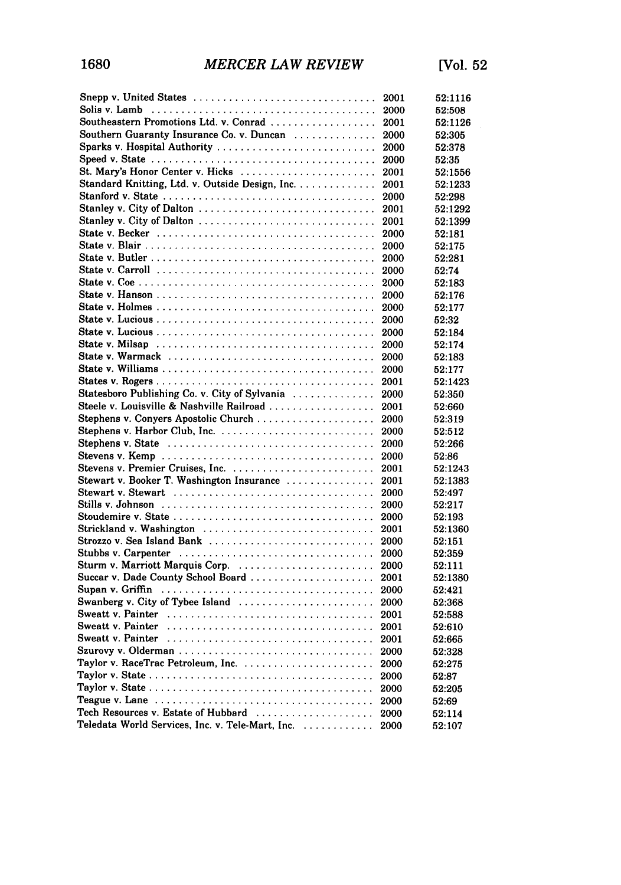| Snepp v. United States                                                                                 | 2001 | 52:1116 |
|--------------------------------------------------------------------------------------------------------|------|---------|
| Solis v. Lamb                                                                                          | 2000 | 52:508  |
| Southeastern Promotions Ltd. v. Conrad                                                                 | 2001 | 52:1126 |
| Southern Guaranty Insurance Co. v. Duncan                                                              | 2000 | 52:305  |
| Sparks v. Hospital Authority                                                                           | 2000 | 52:378  |
|                                                                                                        | 2000 | 52:35   |
| St. Mary's Honor Center v. Hicks                                                                       | 2001 | 52:1556 |
| Standard Knitting, Ltd. v. Outside Design, Inc.                                                        | 2001 | 52:1233 |
|                                                                                                        | 2000 | 52:298  |
|                                                                                                        | 2001 | 52:1292 |
| Stanley v. City of Dalton                                                                              | 2001 | 52:1399 |
|                                                                                                        | 2000 | 52:181  |
|                                                                                                        | 2000 | 52:175  |
|                                                                                                        | 2000 | 52:281  |
| State v. Carroll $\ldots \ldots \ldots \ldots \ldots \ldots \ldots \ldots \ldots \ldots \ldots$        | 2000 | 52:74   |
|                                                                                                        | 2000 | 52:183  |
|                                                                                                        | 2000 | 52:176  |
|                                                                                                        | 2000 | 52:177  |
|                                                                                                        | 2000 | 52:32   |
|                                                                                                        | 2000 | 52:184  |
|                                                                                                        | 2000 | 52:174  |
|                                                                                                        | 2000 | 52:183  |
|                                                                                                        | 2000 | 52:177  |
|                                                                                                        | 2001 | 52:1423 |
| Statesboro Publishing Co. v. City of Sylvania                                                          | 2000 |         |
|                                                                                                        |      | 52:350  |
| Steele v. Louisville & Nashville Railroad                                                              | 2001 | 52:660  |
| Stephens v. Conyers Apostolic Church                                                                   | 2000 | 52:319  |
|                                                                                                        | 2000 | 52:512  |
|                                                                                                        | 2000 | 52:266  |
|                                                                                                        | 2000 | 52:86   |
|                                                                                                        | 2001 | 52:1243 |
| Stewart v. Booker T. Washington Insurance                                                              | 2001 | 52:1383 |
| Stewart v. Stewart                                                                                     | 2000 | 52:497  |
|                                                                                                        | 2000 | 52:217  |
|                                                                                                        | 2000 | 52:193  |
| Strickland v. Washington                                                                               | 2001 | 52:1360 |
| Strozzo v. Sea Island Bank                                                                             | 2000 | 52:151  |
|                                                                                                        | 2000 | 52:359  |
| Sturm v. Marriott Marquis Corp.                                                                        | 2000 | 52:111  |
| Succar v. Dade County School Board                                                                     | 2001 | 52:1380 |
| Supan v. Griffin $\ldots \ldots \ldots \ldots \ldots \ldots \ldots \ldots \ldots \ldots \ldots \ldots$ | 2000 | 52:421  |
| Swanberg v. City of Tybee Island                                                                       | 2000 | 52:368  |
| Sweatt v. Painter                                                                                      | 2001 | 52:588  |
| <b>Sweatt v. Painter</b>                                                                               | 2001 | 52:610  |
|                                                                                                        | 2001 | 52:665  |
|                                                                                                        | 2000 | 52:328  |
|                                                                                                        | 2000 | 52:275  |
|                                                                                                        | 2000 | 52:87   |
|                                                                                                        | 2000 | 52:205  |
|                                                                                                        | 2000 | 52:69   |
| Tech Resources v. Estate of Hubbard                                                                    | 2000 | 52:114  |
| Teledata World Services, Inc. v. Tele-Mart, Inc.                                                       | 2000 | 52:107  |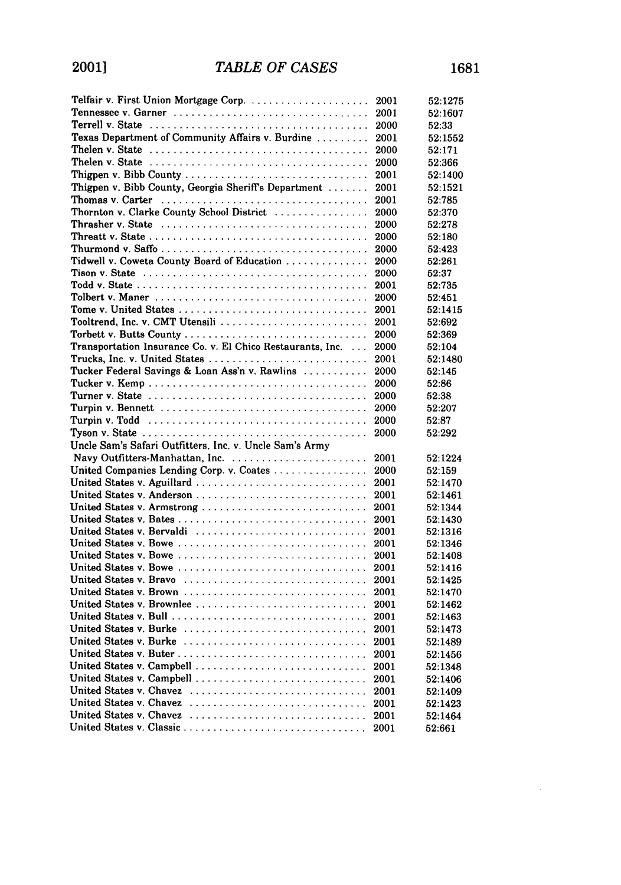| Telfair v. First Union Mortgage Corp.                                                                | 2001 | 52:1275 |
|------------------------------------------------------------------------------------------------------|------|---------|
|                                                                                                      | 2001 | 52:1607 |
|                                                                                                      | 2000 | 52:33   |
| Texas Department of Community Affairs v. Burdine                                                     | 2001 | 52:1552 |
| Thelen v. State                                                                                      | 2000 | 52:171  |
| Thelen v. State                                                                                      | 2000 | 52:366  |
|                                                                                                      | 2001 | 52:1400 |
| Thigpen v. Bibb County, Georgia Sheriff's Department                                                 | 2001 | 52:1521 |
| Thomas v. Carter                                                                                     | 2001 | 52:785  |
| Thornton v. Clarke County School District                                                            | 2000 | 52:370  |
| Thrasher v. State $\ldots \ldots \ldots \ldots \ldots \ldots \ldots \ldots \ldots \ldots \ldots$     | 2000 | 52:278  |
|                                                                                                      | 2000 | 52:180  |
|                                                                                                      | 2000 | 52:423  |
| Tidwell v. Coweta County Board of Education                                                          | 2000 | 52:261  |
| Tison v. State $\ldots \ldots \ldots \ldots \ldots \ldots \ldots \ldots \ldots \ldots \ldots \ldots$ | 2000 | 52:37   |
|                                                                                                      | 2001 | 52:735  |
|                                                                                                      | 2000 | 52:451  |
|                                                                                                      | 2001 | 52:1415 |
| Tooltrend, Inc. v. CMT Utensili                                                                      | 2001 | 52:692  |
|                                                                                                      | 2000 | 52:369  |
| Transportation Insurance Co. v. El Chico Restaurants, Inc.<br>$\sim$ $\sim$ $\sim$                   | 2000 | 52:104  |
|                                                                                                      | 2001 | 52:1480 |
| Tucker Federal Savings & Loan Ass'n v. Rawlins                                                       | 2000 | 52:145  |
|                                                                                                      | 2000 | 52:86   |
|                                                                                                      | 2000 | 52:38   |
|                                                                                                      | 2000 | 52:207  |
| Turpin v. Todd                                                                                       | 2000 | 52:87   |
| Tyson v. State $\ldots \ldots \ldots \ldots \ldots \ldots \ldots \ldots \ldots \ldots \ldots \ldots$ | 2000 | 52:292  |
| Uncle Sam's Safari Outfitters, Inc. v. Uncle Sam's Army                                              |      |         |
|                                                                                                      | 2001 | 52:1224 |
| United Companies Lending Corp. v. Coates                                                             | 2000 | 52:159  |
|                                                                                                      | 2001 | 52:1470 |
|                                                                                                      | 2001 | 52:1461 |
|                                                                                                      | 2001 | 52:1344 |
|                                                                                                      | 2001 | 52:1430 |
| United States v. Bervaldi                                                                            | 2001 | 52:1316 |
|                                                                                                      | 2001 | 52:1346 |
|                                                                                                      | 2001 | 52:1408 |
| United States v. Bowe                                                                                | 2001 | 52:1416 |
| United States v. Bravo                                                                               | 2001 | 52.1425 |
|                                                                                                      | 2001 | 52:1470 |
| United States v. Brownlee                                                                            | 2001 | 52:1462 |
|                                                                                                      | 2001 | 52:1463 |
| United States v. Burke                                                                               | 2001 | 52:1473 |
| United States v. Burke                                                                               | 2001 | 52:1489 |
|                                                                                                      | 2001 | 52:1456 |
| United States v. Campbell                                                                            | 2001 | 52:1348 |
|                                                                                                      | 2001 | 52:1406 |
| United States v. Chavez $\ldots, \ldots, \ldots, \ldots, \ldots, \ldots, \ldots, \ldots$             | 2001 | 52:1409 |
| United States v. Chavez                                                                              | 2001 | 52:1423 |
| United States v. Chavez                                                                              | 2001 | 52:1464 |
| United States v. Classic                                                                             | 2001 | 52:661  |

 $\sim 10^{-11}$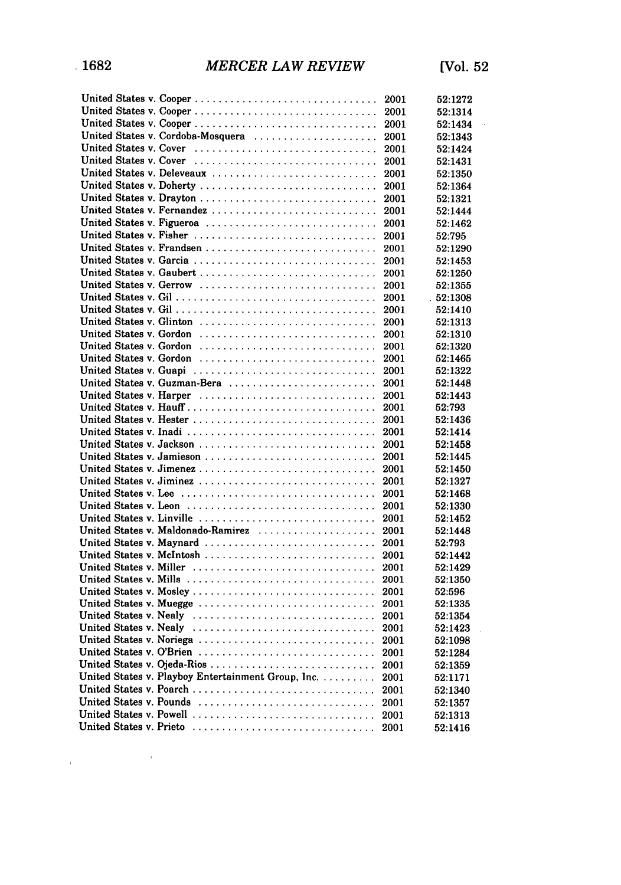$\mathcal{L}_{\rm{max}}$  and  $\mathcal{L}_{\rm{max}}$  and  $\mathcal{L}_{\rm{max}}$ 

| United States v. Cooper                            | 2001 | 52:1272  |
|----------------------------------------------------|------|----------|
|                                                    | 2001 | 52:1314  |
| United States v. Cooper                            | 2001 | 52:1434  |
| United States v. Cordoba-Mosquera                  | 2001 | 52:1343  |
| United States v. Cover                             | 2001 | 52:1424  |
| United States v. Cover                             | 2001 | 52:1431  |
| United States v. Deleveaux                         | 2001 | 52:1350  |
| United States v. Doherty                           | 2001 | 52:1364  |
| United States v. Drayton                           | 2001 | 52:1321  |
| United States v. Fernandez                         | 2001 | 52:1444  |
| United States v. Figueroa                          | 2001 | 52:1462  |
| United States v. Fisher                            | 2001 | 52:795   |
|                                                    | 2001 | 52.1290  |
| United States v. Garcia                            | 2001 | 52:1453  |
| United States v. Gaubert                           | 2001 | 52:1250  |
| United States v. Gerrow                            | 2001 | 52:1355  |
|                                                    | 2001 | .52:1308 |
|                                                    | 2001 | 52:1410  |
| United States v. Glinton                           | 2001 | 52:1313  |
| United States v. Gordon                            | 2001 | 52:1310  |
| United States v. Gordon                            | 2001 | 52:1320  |
| United States v. Gordon                            | 2001 | 52:1465  |
| United States v. Guapi                             | 2001 | 52:1322  |
| United States v. Guzman-Bera                       | 2001 | 52:1448  |
| United States v. Harper                            | 2001 | 52:1443  |
|                                                    | 2001 | 52:793   |
|                                                    | 2001 | 52:1436  |
| United States v. Inadi                             | 2001 | 52:1414  |
| United States v. Jackson                           | 2001 | 52:1458  |
| United States v. Jamieson                          | 2001 | 52:1445  |
|                                                    | 2001 | 52:1450  |
| United States v. Jiminez                           | 2001 | 52:1327  |
|                                                    | 2001 | 52:1468  |
|                                                    | 2001 | 52:1330  |
| United States v. Linville                          | 2001 | 52:1452  |
| United States v. Maldonado-Ramirez                 | 2001 | 52:1448  |
| United States v. Maynard                           | 2001 | 52:793   |
|                                                    | 2001 | 52:1442  |
| United States v. Miller                            | 2001 | 52:1429  |
|                                                    | 2001 | 52:1350  |
| United States v. Mosley                            | 2001 | 52:596   |
| United States v. Muegge                            | 2001 | 52:1335  |
| United States v. Nealy                             | 2001 | 52:1354  |
| United States v. Nealy                             | 2001 | 52:1423  |
| United States v. Noriega                           | 2001 | 52:1098  |
| United States v. O'Brien                           | 2001 | 52:1284  |
| United States v. Ojeda-Rios                        | 2001 | 52:1359  |
| United States v. Playboy Entertainment Group, Inc. | 2001 | 52:1171  |
| United States v. Poarch                            | 2001 | 52:1340  |
| United States v. Pounds                            | 2001 | 52:1357  |
| United States v. Powell                            | 2001 | 52:1313  |
| United States v. Prieto                            | 2001 | 52:1416  |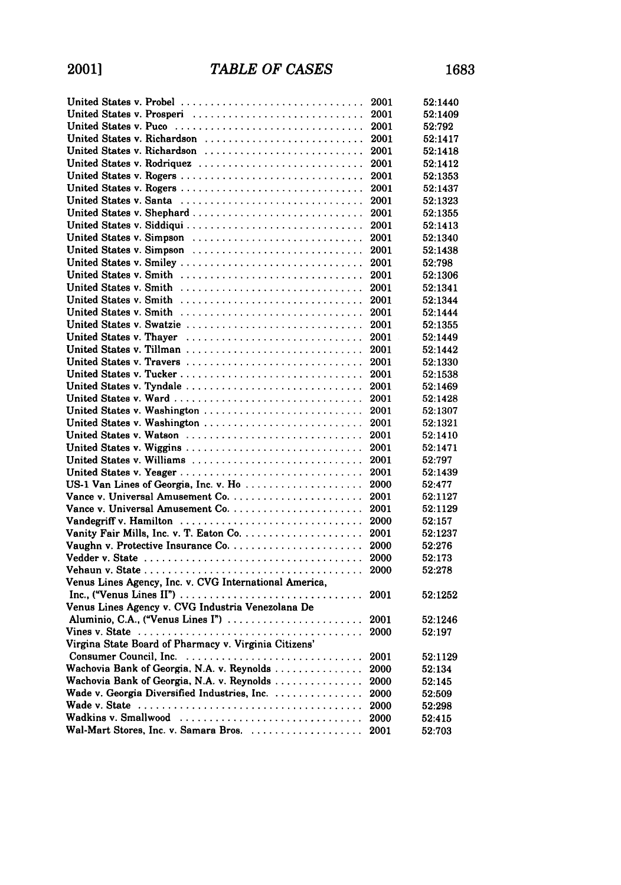| United States v. Probel                                | 2001 | 52:1440 |
|--------------------------------------------------------|------|---------|
| United States v. Prosperi                              | 2001 | 52:1409 |
| United States v. Puco                                  | 2001 | 52:792  |
| United States v. Richardson                            | 2001 | 52:1417 |
| United States v. Richardson                            | 2001 | 52:1418 |
| United States v. Rodriquez                             | 2001 | 52:1412 |
| United States v. Rogers                                | 2001 | 52:1353 |
|                                                        | 2001 | 52:1437 |
| United States v. Santa                                 | 2001 | 52:1323 |
| United States v. Shephard                              | 2001 | 52:1355 |
|                                                        | 2001 | 52:1413 |
| United States v. Simpson                               | 2001 | 52:1340 |
| United States v. Simpson                               | 2001 | 52:1438 |
| United States v. Smiley                                | 2001 | 52:798  |
| United States v. Smith                                 | 2001 | 52:1306 |
| United States v. Smith                                 | 2001 | 52:1341 |
| United States v. Smith                                 | 2001 | 52:1344 |
| United States v. Smith                                 | 2001 | 52:1444 |
| United States v. Swatzie                               | 2001 | 52:1355 |
| United States v. Thayer                                | 2001 | 52:1449 |
| United States v. Tillman                               | 2001 | 52:1442 |
|                                                        | 2001 | 52:1330 |
|                                                        | 2001 | 52:1538 |
| United States v. Tyndale                               | 2001 | 52:1469 |
| United States v. Ward                                  | 2001 | 52:1428 |
| United States v. Washington                            | 2001 | 52:1307 |
| United States v. Washington                            | 2001 | 52:1321 |
| United States v. Watson                                | 2001 | 52:1410 |
| United States v. Wiggins                               | 2001 | 52:1471 |
| United States v. Williams                              | 2001 | 52:797  |
| United States v. Yeager                                | 2001 | 52:1439 |
| US-1 Van Lines of Georgia, Inc. v. Ho                  | 2000 | 52:477  |
|                                                        | 2001 | 52:1127 |
|                                                        | 2001 | 52:1129 |
| Vandegriff v. Hamilton                                 | 2000 | 52:157  |
|                                                        | 2001 | 52:1237 |
|                                                        | 2000 | 52:276  |
|                                                        | 2000 | 52:173  |
|                                                        | 2000 | 52:278  |
| Venus Lines Agency, Inc. v. CVG International America, |      |         |
|                                                        | 2001 | 52:1252 |
| Venus Lines Agency v. CVG Industria Venezolana De      |      |         |
| Aluminio, C.A., ("Venus Lines I")                      | 2001 | 52:1246 |
|                                                        | 2000 | 52:197  |
| Virgina State Board of Pharmacy v. Virginia Citizens'  |      |         |
|                                                        | 2001 | 52:1129 |
| Wachovia Bank of Georgia, N.A. v. Reynolds             | 2000 | 52:134  |
| Wachovia Bank of Georgia, N.A. v. Reynolds             | 2000 | 52:145  |
| Wade v. Georgia Diversified Industries, Inc.           | 2000 | 52:509  |
|                                                        | 2000 | 52:298  |
| Wadkins v. Smallwood                                   | 2000 | 52:415  |
| Wal-Mart Stores, Inc. v. Samara Bros.                  | 2001 | 52:703  |